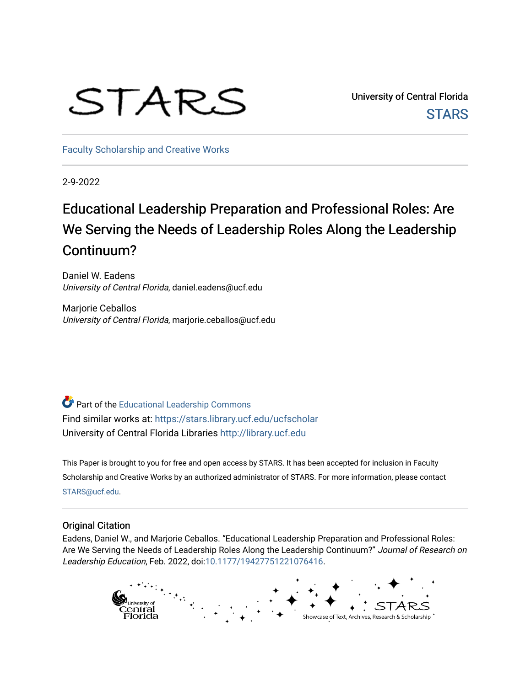# STARS

University of Central Florida **STARS** 

[Faculty Scholarship and Creative Works](https://stars.library.ucf.edu/ucfscholar) 

2-9-2022

# Educational Leadership Preparation and Professional Roles: Are We Serving the Needs of Leadership Roles Along the Leadership Continuum?

Daniel W. Eadens University of Central Florida, daniel.eadens@ucf.edu

Marjorie Ceballos University of Central Florida, marjorie.ceballos@ucf.edu

Part of the [Educational Leadership Commons](http://network.bepress.com/hgg/discipline/1230?utm_source=stars.library.ucf.edu%2Fucfscholar%2F1060&utm_medium=PDF&utm_campaign=PDFCoverPages)  Find similar works at: <https://stars.library.ucf.edu/ucfscholar> University of Central Florida Libraries [http://library.ucf.edu](http://library.ucf.edu/) 

This Paper is brought to you for free and open access by STARS. It has been accepted for inclusion in Faculty Scholarship and Creative Works by an authorized administrator of STARS. For more information, please contact [STARS@ucf.edu](mailto:STARS@ucf.edu).

#### Original Citation

Eadens, Daniel W., and Marjorie Ceballos. "Educational Leadership Preparation and Professional Roles: Are We Serving the Needs of Leadership Roles Along the Leadership Continuum?" Journal of Research on Leadership Education, Feb. 2022, doi:[10.1177/19427751221076416.](https://doi.org/10.1177/19427751221076416)

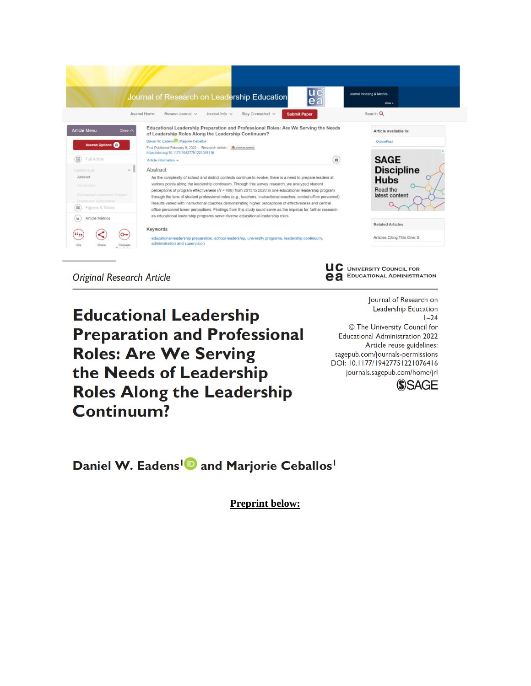

**Original Research Article** 

**Educational Leadership Preparation and Professional Roles: Are We Serving** the Needs of Leadership **Roles Along the Leadership** Continuum?

Journal of Research on Leadership Education  $1 - 24$ © The University Council for **Educational Administration 2022** Article reuse guidelines: sagepub.com/journals-permissions DOI: 10.1177/19427751221076416 journals.sagepub.com/home/jrl



Daniel W. Eadens<sup>1</sup><sup>D</sup> and Marjorie Ceballos<sup>1</sup>

**Preprint below:**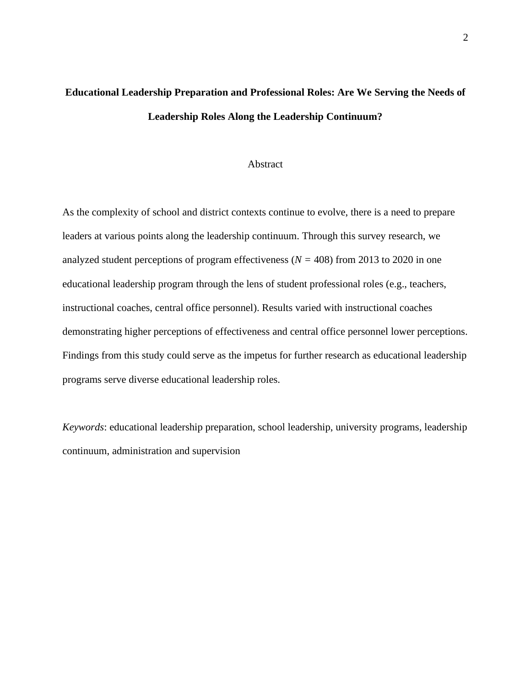# **Educational Leadership Preparation and Professional Roles: Are We Serving the Needs of Leadership Roles Along the Leadership Continuum?**

#### Abstract

As the complexity of school and district contexts continue to evolve, there is a need to prepare leaders at various points along the leadership continuum. Through this survey research, we analyzed student perceptions of program effectiveness (*N =* 408) from 2013 to 2020 in one educational leadership program through the lens of student professional roles (e.g., teachers, instructional coaches, central office personnel). Results varied with instructional coaches demonstrating higher perceptions of effectiveness and central office personnel lower perceptions. Findings from this study could serve as the impetus for further research as educational leadership programs serve diverse educational leadership roles.

*Keywords*: educational leadership preparation, school leadership, university programs, leadership continuum, administration and supervision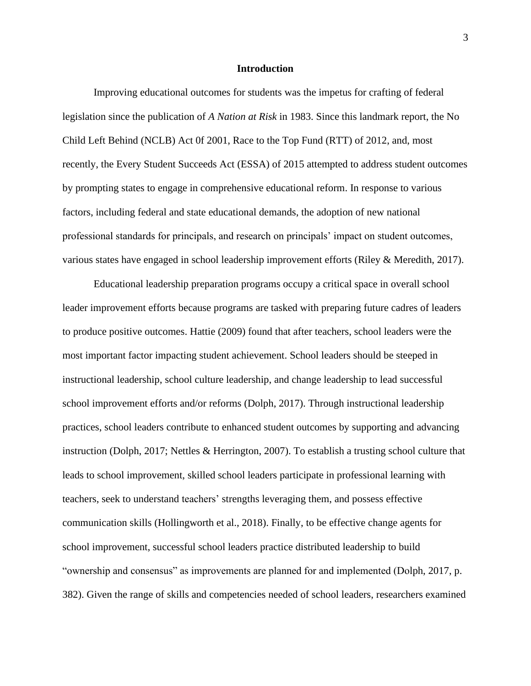#### **Introduction**

Improving educational outcomes for students was the impetus for crafting of federal legislation since the publication of *A Nation at Risk* in 1983. Since this landmark report, the No Child Left Behind (NCLB) Act 0f 2001, Race to the Top Fund (RTT) of 2012, and, most recently, the Every Student Succeeds Act (ESSA) of 2015 attempted to address student outcomes by prompting states to engage in comprehensive educational reform. In response to various factors, including federal and state educational demands, the adoption of new national professional standards for principals, and research on principals' impact on student outcomes, various states have engaged in school leadership improvement efforts (Riley & Meredith, 2017).

Educational leadership preparation programs occupy a critical space in overall school leader improvement efforts because programs are tasked with preparing future cadres of leaders to produce positive outcomes. Hattie (2009) found that after teachers, school leaders were the most important factor impacting student achievement. School leaders should be steeped in instructional leadership, school culture leadership, and change leadership to lead successful school improvement efforts and/or reforms (Dolph, 2017). Through instructional leadership practices, school leaders contribute to enhanced student outcomes by supporting and advancing instruction (Dolph, 2017; Nettles & Herrington, 2007). To establish a trusting school culture that leads to school improvement, skilled school leaders participate in professional learning with teachers, seek to understand teachers' strengths leveraging them, and possess effective communication skills (Hollingworth et al., 2018). Finally, to be effective change agents for school improvement, successful school leaders practice distributed leadership to build "ownership and consensus" as improvements are planned for and implemented (Dolph, 2017, p. 382). Given the range of skills and competencies needed of school leaders, researchers examined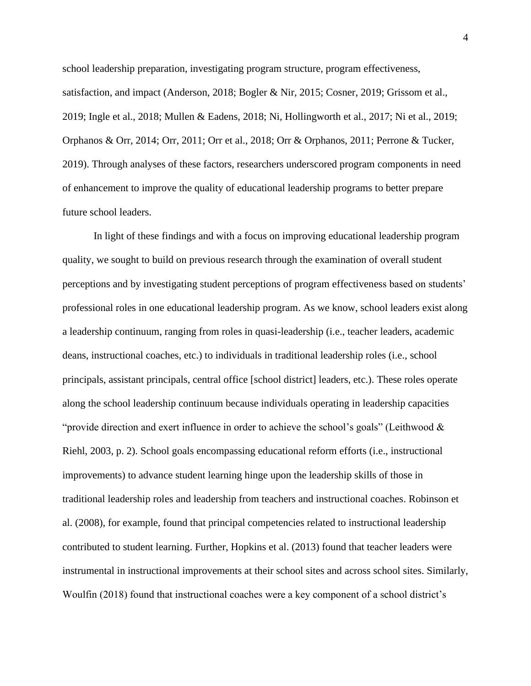school leadership preparation, investigating program structure, program effectiveness, satisfaction, and impact (Anderson, 2018; Bogler & Nir, 2015; Cosner, 2019; Grissom et al., 2019; Ingle et al., 2018; Mullen & Eadens, 2018; Ni, Hollingworth et al., 2017; Ni et al., 2019; Orphanos & Orr, 2014; Orr, 2011; Orr et al., 2018; Orr & Orphanos, 2011; Perrone & Tucker, 2019). Through analyses of these factors, researchers underscored program components in need of enhancement to improve the quality of educational leadership programs to better prepare future school leaders.

In light of these findings and with a focus on improving educational leadership program quality, we sought to build on previous research through the examination of overall student perceptions and by investigating student perceptions of program effectiveness based on students' professional roles in one educational leadership program. As we know, school leaders exist along a leadership continuum, ranging from roles in quasi-leadership (i.e., teacher leaders, academic deans, instructional coaches, etc.) to individuals in traditional leadership roles (i.e., school principals, assistant principals, central office [school district] leaders, etc.). These roles operate along the school leadership continuum because individuals operating in leadership capacities "provide direction and exert influence in order to achieve the school's goals" (Leithwood & Riehl, 2003, p. 2). School goals encompassing educational reform efforts (i.e., instructional improvements) to advance student learning hinge upon the leadership skills of those in traditional leadership roles and leadership from teachers and instructional coaches. Robinson et al. (2008), for example, found that principal competencies related to instructional leadership contributed to student learning. Further, Hopkins et al. (2013) found that teacher leaders were instrumental in instructional improvements at their school sites and across school sites. Similarly, Woulfin (2018) found that instructional coaches were a key component of a school district's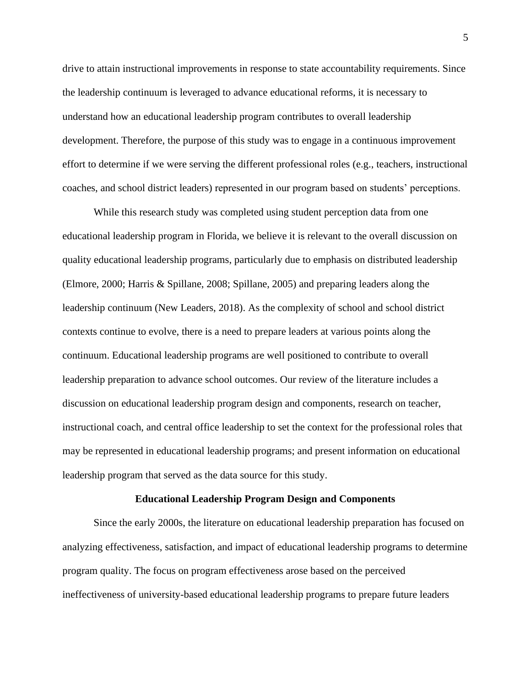drive to attain instructional improvements in response to state accountability requirements. Since the leadership continuum is leveraged to advance educational reforms, it is necessary to understand how an educational leadership program contributes to overall leadership development. Therefore, the purpose of this study was to engage in a continuous improvement effort to determine if we were serving the different professional roles (e.g., teachers, instructional coaches, and school district leaders) represented in our program based on students' perceptions.

While this research study was completed using student perception data from one educational leadership program in Florida, we believe it is relevant to the overall discussion on quality educational leadership programs, particularly due to emphasis on distributed leadership (Elmore, 2000; Harris & Spillane, 2008; Spillane, 2005) and preparing leaders along the leadership continuum (New Leaders, 2018). As the complexity of school and school district contexts continue to evolve, there is a need to prepare leaders at various points along the continuum. Educational leadership programs are well positioned to contribute to overall leadership preparation to advance school outcomes. Our review of the literature includes a discussion on educational leadership program design and components, research on teacher, instructional coach, and central office leadership to set the context for the professional roles that may be represented in educational leadership programs; and present information on educational leadership program that served as the data source for this study.

#### **Educational Leadership Program Design and Components**

Since the early 2000s, the literature on educational leadership preparation has focused on analyzing effectiveness, satisfaction, and impact of educational leadership programs to determine program quality. The focus on program effectiveness arose based on the perceived ineffectiveness of university-based educational leadership programs to prepare future leaders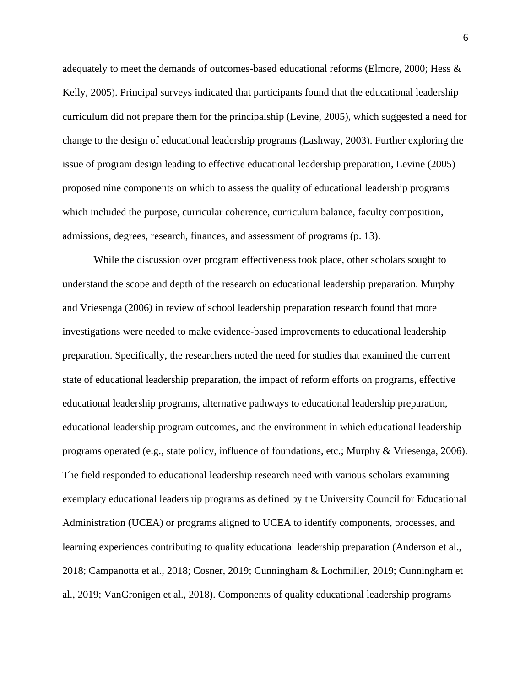adequately to meet the demands of outcomes-based educational reforms (Elmore, 2000; Hess & Kelly, 2005). Principal surveys indicated that participants found that the educational leadership curriculum did not prepare them for the principalship (Levine, 2005), which suggested a need for change to the design of educational leadership programs (Lashway, 2003). Further exploring the issue of program design leading to effective educational leadership preparation, Levine (2005) proposed nine components on which to assess the quality of educational leadership programs which included the purpose, curricular coherence, curriculum balance, faculty composition, admissions, degrees, research, finances, and assessment of programs (p. 13).

While the discussion over program effectiveness took place, other scholars sought to understand the scope and depth of the research on educational leadership preparation. Murphy and Vriesenga (2006) in review of school leadership preparation research found that more investigations were needed to make evidence-based improvements to educational leadership preparation. Specifically, the researchers noted the need for studies that examined the current state of educational leadership preparation, the impact of reform efforts on programs, effective educational leadership programs, alternative pathways to educational leadership preparation, educational leadership program outcomes, and the environment in which educational leadership programs operated (e.g., state policy, influence of foundations, etc.; Murphy & Vriesenga, 2006). The field responded to educational leadership research need with various scholars examining exemplary educational leadership programs as defined by the University Council for Educational Administration (UCEA) or programs aligned to UCEA to identify components, processes, and learning experiences contributing to quality educational leadership preparation (Anderson et al., 2018; Campanotta et al., 2018; Cosner, 2019; Cunningham & Lochmiller, 2019; Cunningham et al., 2019; VanGronigen et al., 2018). Components of quality educational leadership programs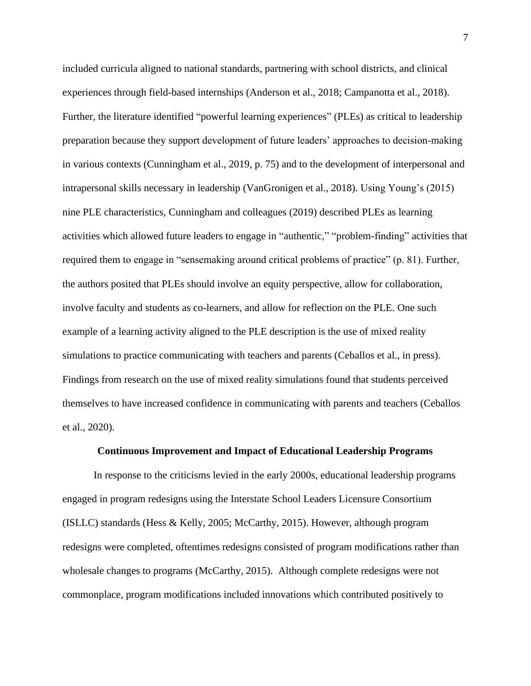included curricula aligned to national standards, partnering with school districts, and clinical experiences through field-based internships (Anderson et al., 2018; Campanotta et al., 2018). Further, the literature identified "powerful learning experiences" (PLEs) as critical to leadership preparation because they support development of future leaders' approaches to decision-making in various contexts (Cunningham et al., 2019, p. 75) and to the development of interpersonal and intrapersonal skills necessary in leadership (VanGronigen et al., 2018). Using Young's (2015) nine PLE characteristics, Cunningham and colleagues (2019) described PLEs as learning activities which allowed future leaders to engage in "authentic," "problem-finding" activities that required them to engage in "sensemaking around critical problems of practice" (p. 81). Further, the authors posited that PLEs should involve an equity perspective, allow for collaboration, involve faculty and students as co-learners, and allow for reflection on the PLE. One such example of a learning activity aligned to the PLE description is the use of mixed reality simulations to practice communicating with teachers and parents (Ceballos et al., in press). Findings from research on the use of mixed reality simulations found that students perceived themselves to have increased confidence in communicating with parents and teachers (Ceballos et al., 2020).

#### **Continuous Improvement and Impact of Educational Leadership Programs**

In response to the criticisms levied in the early 2000s, educational leadership programs engaged in program redesigns using the Interstate School Leaders Licensure Consortium (ISLLC) standards (Hess & Kelly, 2005; McCarthy, 2015). However, although program redesigns were completed, oftentimes redesigns consisted of program modifications rather than wholesale changes to programs (McCarthy, 2015). Although complete redesigns were not commonplace, program modifications included innovations which contributed positively to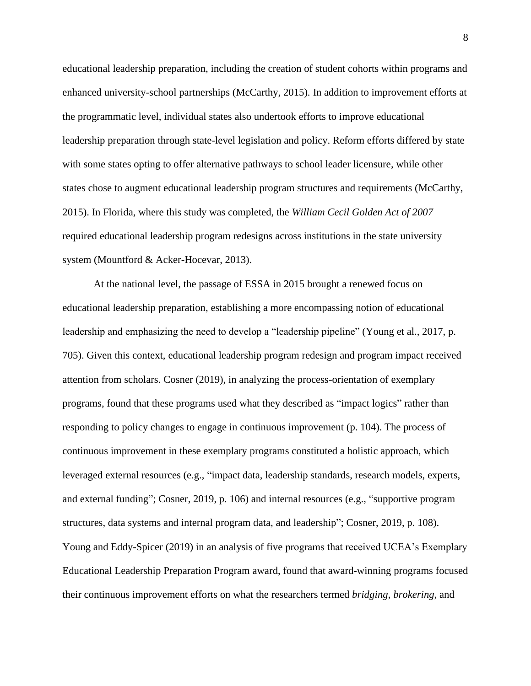educational leadership preparation, including the creation of student cohorts within programs and enhanced university-school partnerships (McCarthy, 2015). In addition to improvement efforts at the programmatic level, individual states also undertook efforts to improve educational leadership preparation through state-level legislation and policy. Reform efforts differed by state with some states opting to offer alternative pathways to school leader licensure, while other states chose to augment educational leadership program structures and requirements (McCarthy, 2015). In Florida, where this study was completed, the *William Cecil Golden Act of 2007* required educational leadership program redesigns across institutions in the state university system (Mountford & Acker-Hocevar, 2013).

At the national level, the passage of ESSA in 2015 brought a renewed focus on educational leadership preparation, establishing a more encompassing notion of educational leadership and emphasizing the need to develop a "leadership pipeline" (Young et al., 2017, p. 705). Given this context, educational leadership program redesign and program impact received attention from scholars. Cosner (2019), in analyzing the process-orientation of exemplary programs, found that these programs used what they described as "impact logics" rather than responding to policy changes to engage in continuous improvement (p. 104). The process of continuous improvement in these exemplary programs constituted a holistic approach, which leveraged external resources (e.g., "impact data, leadership standards, research models, experts, and external funding"; Cosner, 2019, p. 106) and internal resources (e.g., "supportive program structures, data systems and internal program data, and leadership"; Cosner, 2019, p. 108). Young and Eddy-Spicer (2019) in an analysis of five programs that received UCEA's Exemplary Educational Leadership Preparation Program award, found that award-winning programs focused their continuous improvement efforts on what the researchers termed *bridging*, *brokering*, and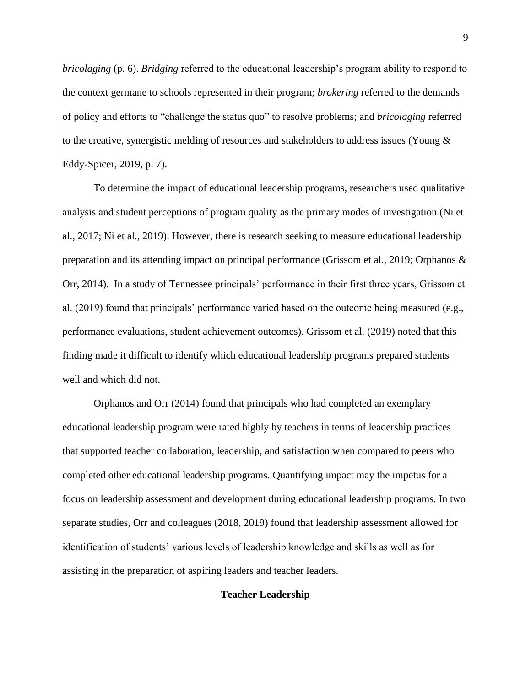*bricolaging* (p. 6). *Bridging* referred to the educational leadership's program ability to respond to the context germane to schools represented in their program; *brokering* referred to the demands of policy and efforts to "challenge the status quo" to resolve problems; and *bricolaging* referred to the creative, synergistic melding of resources and stakeholders to address issues (Young & Eddy-Spicer, 2019, p. 7).

To determine the impact of educational leadership programs, researchers used qualitative analysis and student perceptions of program quality as the primary modes of investigation (Ni et al., 2017; Ni et al., 2019). However, there is research seeking to measure educational leadership preparation and its attending impact on principal performance (Grissom et al., 2019; Orphanos & Orr, 2014). In a study of Tennessee principals' performance in their first three years, Grissom et al. (2019) found that principals' performance varied based on the outcome being measured (e.g., performance evaluations, student achievement outcomes). Grissom et al. (2019) noted that this finding made it difficult to identify which educational leadership programs prepared students well and which did not.

Orphanos and Orr (2014) found that principals who had completed an exemplary educational leadership program were rated highly by teachers in terms of leadership practices that supported teacher collaboration, leadership, and satisfaction when compared to peers who completed other educational leadership programs. Quantifying impact may the impetus for a focus on leadership assessment and development during educational leadership programs. In two separate studies, Orr and colleagues (2018, 2019) found that leadership assessment allowed for identification of students' various levels of leadership knowledge and skills as well as for assisting in the preparation of aspiring leaders and teacher leaders.

#### **Teacher Leadership**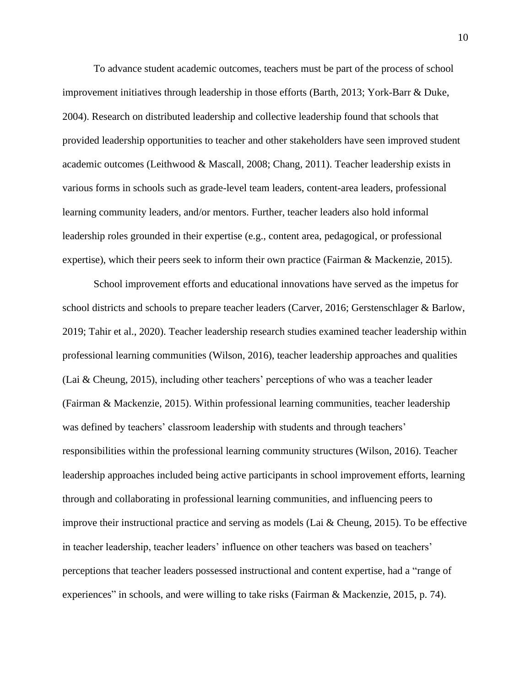To advance student academic outcomes, teachers must be part of the process of school improvement initiatives through leadership in those efforts (Barth, 2013; York-Barr & Duke, 2004). Research on distributed leadership and collective leadership found that schools that provided leadership opportunities to teacher and other stakeholders have seen improved student academic outcomes (Leithwood & Mascall, 2008; Chang, 2011). Teacher leadership exists in various forms in schools such as grade-level team leaders, content-area leaders, professional learning community leaders, and/or mentors. Further, teacher leaders also hold informal leadership roles grounded in their expertise (e.g., content area, pedagogical, or professional expertise), which their peers seek to inform their own practice (Fairman & Mackenzie, 2015).

School improvement efforts and educational innovations have served as the impetus for school districts and schools to prepare teacher leaders (Carver, 2016; Gerstenschlager & Barlow, 2019; Tahir et al., 2020). Teacher leadership research studies examined teacher leadership within professional learning communities (Wilson, 2016), teacher leadership approaches and qualities (Lai & Cheung, 2015), including other teachers' perceptions of who was a teacher leader (Fairman & Mackenzie, 2015). Within professional learning communities, teacher leadership was defined by teachers' classroom leadership with students and through teachers' responsibilities within the professional learning community structures (Wilson, 2016). Teacher leadership approaches included being active participants in school improvement efforts, learning through and collaborating in professional learning communities, and influencing peers to improve their instructional practice and serving as models (Lai  $\&$  Cheung, 2015). To be effective in teacher leadership, teacher leaders' influence on other teachers was based on teachers' perceptions that teacher leaders possessed instructional and content expertise, had a "range of experiences" in schools, and were willing to take risks (Fairman & Mackenzie, 2015, p. 74).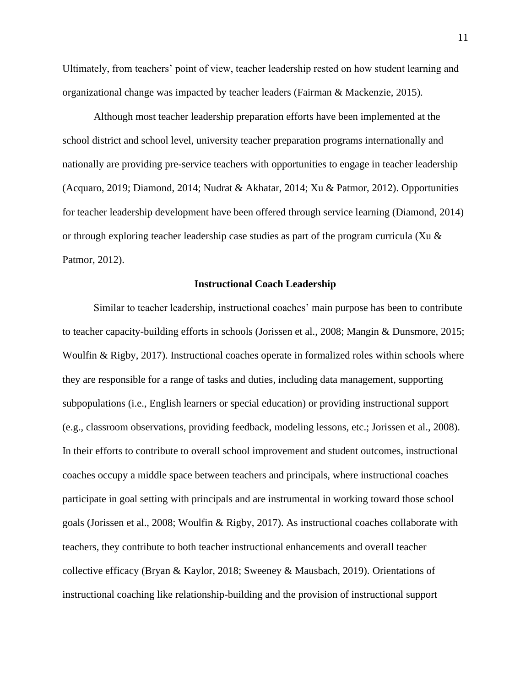Ultimately, from teachers' point of view, teacher leadership rested on how student learning and organizational change was impacted by teacher leaders (Fairman & Mackenzie, 2015).

Although most teacher leadership preparation efforts have been implemented at the school district and school level, university teacher preparation programs internationally and nationally are providing pre-service teachers with opportunities to engage in teacher leadership (Acquaro, 2019; Diamond, 2014; Nudrat & Akhatar, 2014; Xu & Patmor, 2012). Opportunities for teacher leadership development have been offered through service learning (Diamond, 2014) or through exploring teacher leadership case studies as part of the program curricula (Xu  $\&$ Patmor, 2012).

#### **Instructional Coach Leadership**

Similar to teacher leadership, instructional coaches' main purpose has been to contribute to teacher capacity-building efforts in schools (Jorissen et al., 2008; Mangin & Dunsmore, 2015; Woulfin & Rigby, 2017). Instructional coaches operate in formalized roles within schools where they are responsible for a range of tasks and duties, including data management, supporting subpopulations (i.e., English learners or special education) or providing instructional support (e.g., classroom observations, providing feedback, modeling lessons, etc.; Jorissen et al., 2008). In their efforts to contribute to overall school improvement and student outcomes, instructional coaches occupy a middle space between teachers and principals, where instructional coaches participate in goal setting with principals and are instrumental in working toward those school goals (Jorissen et al., 2008; Woulfin & Rigby, 2017). As instructional coaches collaborate with teachers, they contribute to both teacher instructional enhancements and overall teacher collective efficacy (Bryan & Kaylor, 2018; Sweeney & Mausbach, 2019). Orientations of instructional coaching like relationship-building and the provision of instructional support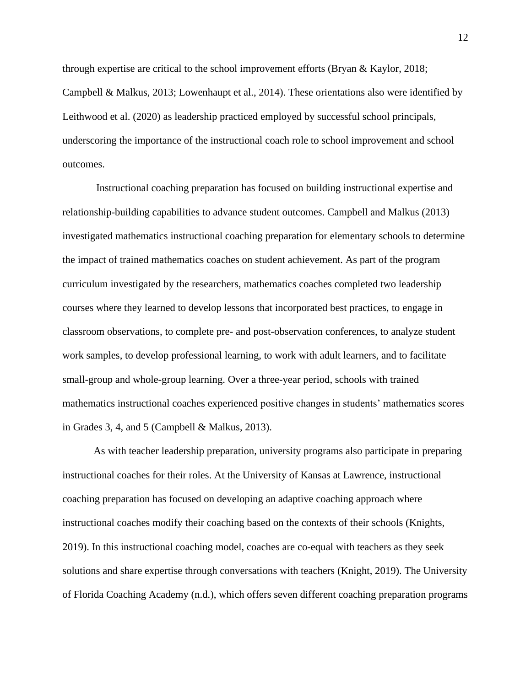through expertise are critical to the school improvement efforts (Bryan & Kaylor, 2018; Campbell & Malkus, 2013; Lowenhaupt et al., 2014). These orientations also were identified by Leithwood et al. (2020) as leadership practiced employed by successful school principals, underscoring the importance of the instructional coach role to school improvement and school outcomes.

Instructional coaching preparation has focused on building instructional expertise and relationship-building capabilities to advance student outcomes. Campbell and Malkus (2013) investigated mathematics instructional coaching preparation for elementary schools to determine the impact of trained mathematics coaches on student achievement. As part of the program curriculum investigated by the researchers, mathematics coaches completed two leadership courses where they learned to develop lessons that incorporated best practices, to engage in classroom observations, to complete pre- and post-observation conferences, to analyze student work samples, to develop professional learning, to work with adult learners, and to facilitate small-group and whole-group learning. Over a three-year period, schools with trained mathematics instructional coaches experienced positive changes in students' mathematics scores in Grades 3, 4, and 5 (Campbell & Malkus, 2013).

As with teacher leadership preparation, university programs also participate in preparing instructional coaches for their roles. At the University of Kansas at Lawrence, instructional coaching preparation has focused on developing an adaptive coaching approach where instructional coaches modify their coaching based on the contexts of their schools (Knights, 2019). In this instructional coaching model, coaches are co-equal with teachers as they seek solutions and share expertise through conversations with teachers (Knight, 2019). The University of Florida Coaching Academy (n.d.), which offers seven different coaching preparation programs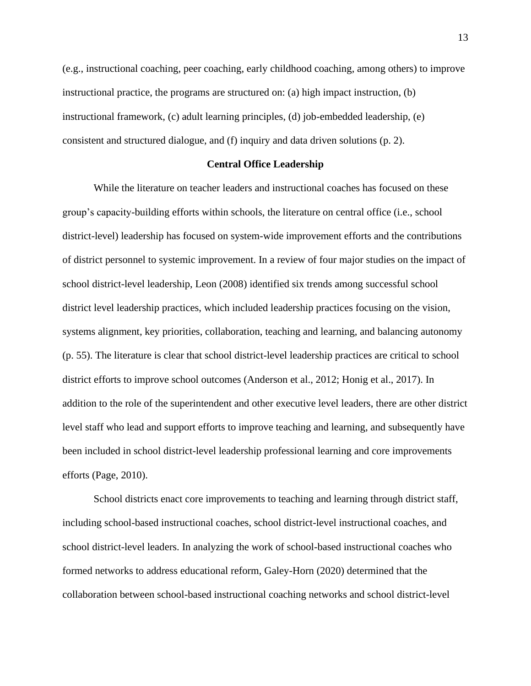(e.g., instructional coaching, peer coaching, early childhood coaching, among others) to improve instructional practice, the programs are structured on: (a) high impact instruction, (b) instructional framework, (c) adult learning principles, (d) job-embedded leadership, (e) consistent and structured dialogue, and (f) inquiry and data driven solutions (p. 2).

#### **Central Office Leadership**

While the literature on teacher leaders and instructional coaches has focused on these group's capacity-building efforts within schools, the literature on central office (i.e., school district-level) leadership has focused on system-wide improvement efforts and the contributions of district personnel to systemic improvement. In a review of four major studies on the impact of school district-level leadership, Leon (2008) identified six trends among successful school district level leadership practices, which included leadership practices focusing on the vision, systems alignment, key priorities, collaboration, teaching and learning, and balancing autonomy (p. 55). The literature is clear that school district-level leadership practices are critical to school district efforts to improve school outcomes (Anderson et al., 2012; Honig et al., 2017). In addition to the role of the superintendent and other executive level leaders, there are other district level staff who lead and support efforts to improve teaching and learning, and subsequently have been included in school district-level leadership professional learning and core improvements efforts (Page, 2010).

School districts enact core improvements to teaching and learning through district staff, including school-based instructional coaches, school district-level instructional coaches, and school district-level leaders. In analyzing the work of school-based instructional coaches who formed networks to address educational reform, Galey-Horn (2020) determined that the collaboration between school-based instructional coaching networks and school district-level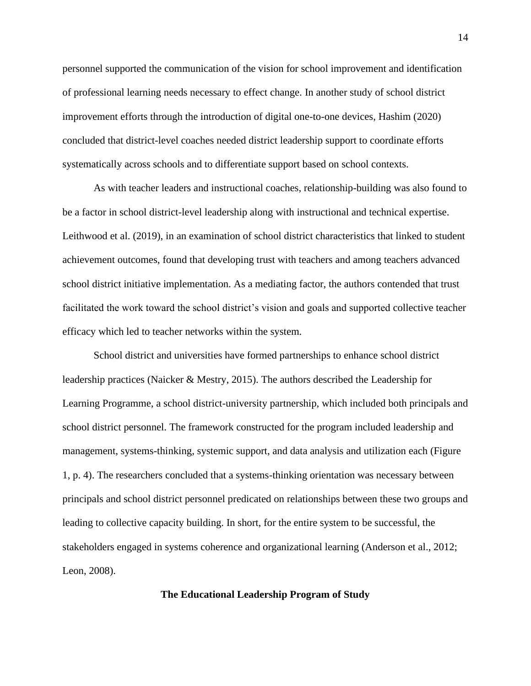personnel supported the communication of the vision for school improvement and identification of professional learning needs necessary to effect change. In another study of school district improvement efforts through the introduction of digital one-to-one devices, Hashim (2020) concluded that district-level coaches needed district leadership support to coordinate efforts systematically across schools and to differentiate support based on school contexts.

As with teacher leaders and instructional coaches, relationship-building was also found to be a factor in school district-level leadership along with instructional and technical expertise. Leithwood et al. (2019), in an examination of school district characteristics that linked to student achievement outcomes, found that developing trust with teachers and among teachers advanced school district initiative implementation. As a mediating factor, the authors contended that trust facilitated the work toward the school district's vision and goals and supported collective teacher efficacy which led to teacher networks within the system.

School district and universities have formed partnerships to enhance school district leadership practices (Naicker & Mestry, 2015). The authors described the Leadership for Learning Programme, a school district-university partnership, which included both principals and school district personnel. The framework constructed for the program included leadership and management, systems-thinking, systemic support, and data analysis and utilization each (Figure 1, p. 4). The researchers concluded that a systems-thinking orientation was necessary between principals and school district personnel predicated on relationships between these two groups and leading to collective capacity building. In short, for the entire system to be successful, the stakeholders engaged in systems coherence and organizational learning (Anderson et al., 2012; Leon, 2008).

#### **The Educational Leadership Program of Study**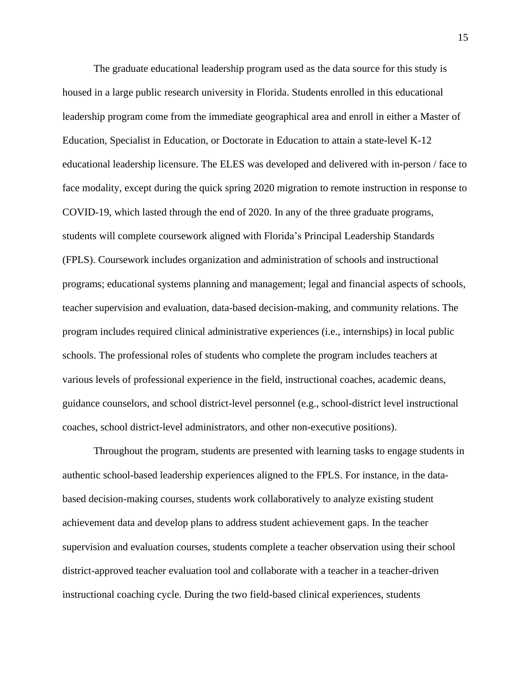The graduate educational leadership program used as the data source for this study is housed in a large public research university in Florida. Students enrolled in this educational leadership program come from the immediate geographical area and enroll in either a Master of Education, Specialist in Education, or Doctorate in Education to attain a state-level K-12 educational leadership licensure. The ELES was developed and delivered with in-person / face to face modality, except during the quick spring 2020 migration to remote instruction in response to COVID-19, which lasted through the end of 2020. In any of the three graduate programs, students will complete coursework aligned with Florida's Principal Leadership Standards (FPLS). Coursework includes organization and administration of schools and instructional programs; educational systems planning and management; legal and financial aspects of schools, teacher supervision and evaluation, data-based decision-making, and community relations. The program includes required clinical administrative experiences (i.e., internships) in local public schools. The professional roles of students who complete the program includes teachers at various levels of professional experience in the field, instructional coaches, academic deans, guidance counselors, and school district-level personnel (e.g., school-district level instructional coaches, school district-level administrators, and other non-executive positions).

Throughout the program, students are presented with learning tasks to engage students in authentic school-based leadership experiences aligned to the FPLS. For instance, in the databased decision-making courses, students work collaboratively to analyze existing student achievement data and develop plans to address student achievement gaps. In the teacher supervision and evaluation courses, students complete a teacher observation using their school district-approved teacher evaluation tool and collaborate with a teacher in a teacher-driven instructional coaching cycle. During the two field-based clinical experiences, students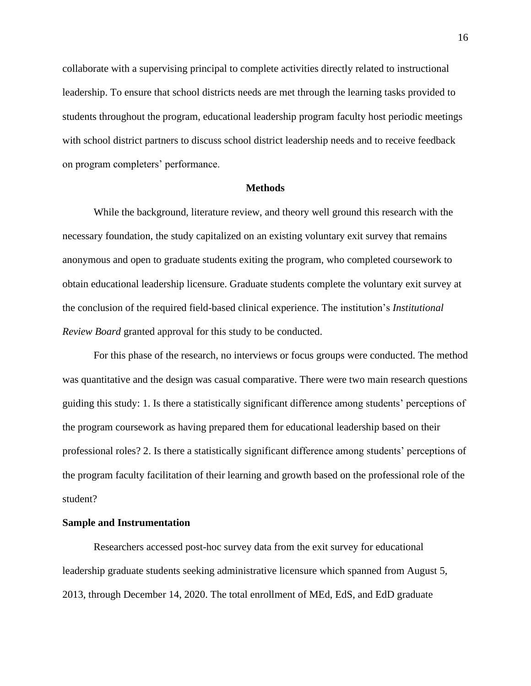collaborate with a supervising principal to complete activities directly related to instructional leadership. To ensure that school districts needs are met through the learning tasks provided to students throughout the program, educational leadership program faculty host periodic meetings with school district partners to discuss school district leadership needs and to receive feedback on program completers' performance.

#### **Methods**

While the background, literature review, and theory well ground this research with the necessary foundation, the study capitalized on an existing voluntary exit survey that remains anonymous and open to graduate students exiting the program, who completed coursework to obtain educational leadership licensure. Graduate students complete the voluntary exit survey at the conclusion of the required field-based clinical experience. The institution's *Institutional Review Board* granted approval for this study to be conducted.

For this phase of the research, no interviews or focus groups were conducted. The method was quantitative and the design was casual comparative. There were two main research questions guiding this study: 1. Is there a statistically significant difference among students' perceptions of the program coursework as having prepared them for educational leadership based on their professional roles? 2. Is there a statistically significant difference among students' perceptions of the program faculty facilitation of their learning and growth based on the professional role of the student?

#### **Sample and Instrumentation**

Researchers accessed post-hoc survey data from the exit survey for educational leadership graduate students seeking administrative licensure which spanned from August 5, 2013, through December 14, 2020. The total enrollment of MEd, EdS, and EdD graduate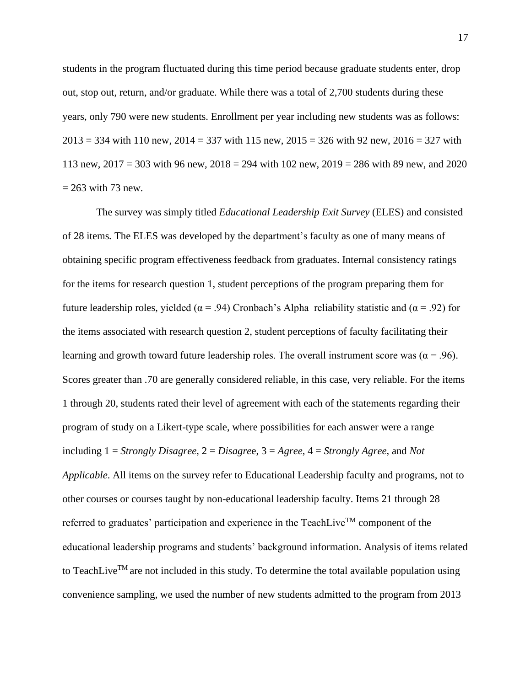students in the program fluctuated during this time period because graduate students enter, drop out, stop out, return, and/or graduate. While there was a total of 2,700 students during these years, only 790 were new students. Enrollment per year including new students was as follows:  $2013 = 334$  with 110 new,  $2014 = 337$  with 115 new,  $2015 = 326$  with 92 new,  $2016 = 327$  with 113 new, 2017 = 303 with 96 new, 2018 = 294 with 102 new, 2019 = 286 with 89 new, and 2020  $= 263$  with 73 new.

The survey was simply titled *Educational Leadership Exit Survey* (ELES) and consisted of 28 items*.* The ELES was developed by the department's faculty as one of many means of obtaining specific program effectiveness feedback from graduates. Internal consistency ratings for the items for research question 1, student perceptions of the program preparing them for future leadership roles, yielded ( $\alpha$  = .94) Cronbach's Alpha reliability statistic and ( $\alpha$  = .92) for the items associated with research question 2, student perceptions of faculty facilitating their learning and growth toward future leadership roles. The overall instrument score was ( $\alpha$  = .96). Scores greater than .70 are generally considered reliable, in this case, very reliable. For the items 1 through 20, students rated their level of agreement with each of the statements regarding their program of study on a Likert-type scale, where possibilities for each answer were a range including 1 = *Strongly Disagree*, 2 = *Disagre*e, 3 = *Agree*, 4 = *Strongly Agree*, and *Not Applicable*. All items on the survey refer to Educational Leadership faculty and programs, not to other courses or courses taught by non-educational leadership faculty. Items 21 through 28 referred to graduates' participation and experience in the TeachLive<sup>TM</sup> component of the educational leadership programs and students' background information. Analysis of items related to TeachLive<sup>TM</sup> are not included in this study. To determine the total available population using convenience sampling, we used the number of new students admitted to the program from 2013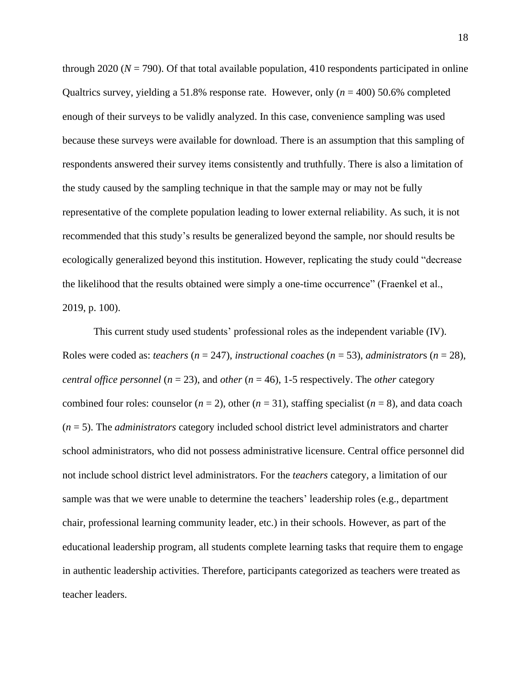through 2020 ( $N = 790$ ). Of that total available population, 410 respondents participated in online Qualtrics survey, yielding a 51.8% response rate. However, only (*n* = 400) 50.6% completed enough of their surveys to be validly analyzed. In this case, convenience sampling was used because these surveys were available for download. There is an assumption that this sampling of respondents answered their survey items consistently and truthfully. There is also a limitation of the study caused by the sampling technique in that the sample may or may not be fully representative of the complete population leading to lower external reliability. As such, it is not recommended that this study's results be generalized beyond the sample, nor should results be ecologically generalized beyond this institution. However, replicating the study could "decrease the likelihood that the results obtained were simply a one-time occurrence" (Fraenkel et al., 2019, p. 100).

This current study used students' professional roles as the independent variable (IV). Roles were coded as: *teachers* (*n* = 247), *instructional coaches* (*n* = 53), *administrator*s (*n* = 28), *central office personnel* ( $n = 23$ ), and *other* ( $n = 46$ ), 1-5 respectively. The *other* category combined four roles: counselor  $(n = 2)$ , other  $(n = 31)$ , staffing specialist  $(n = 8)$ , and data coach (*n* = 5). The *administrators* category included school district level administrators and charter school administrators, who did not possess administrative licensure. Central office personnel did not include school district level administrators. For the *teachers* category, a limitation of our sample was that we were unable to determine the teachers' leadership roles (e.g., department chair, professional learning community leader, etc.) in their schools. However, as part of the educational leadership program, all students complete learning tasks that require them to engage in authentic leadership activities. Therefore, participants categorized as teachers were treated as teacher leaders.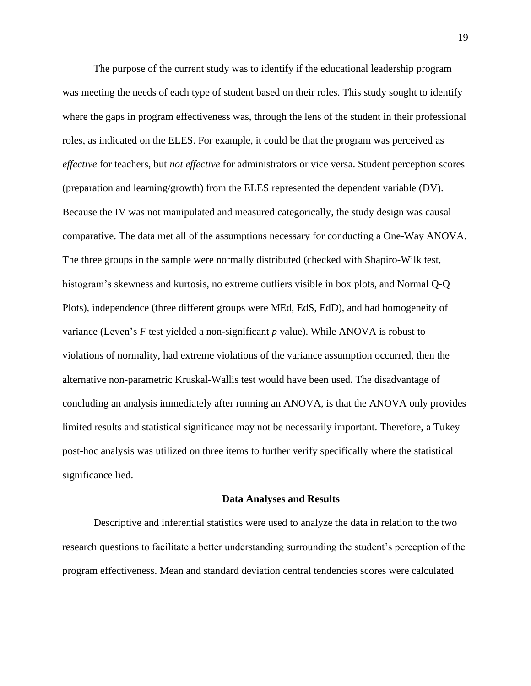The purpose of the current study was to identify if the educational leadership program was meeting the needs of each type of student based on their roles. This study sought to identify where the gaps in program effectiveness was, through the lens of the student in their professional roles, as indicated on the ELES. For example, it could be that the program was perceived as *effective* for teachers, but *not effective* for administrators or vice versa. Student perception scores (preparation and learning/growth) from the ELES represented the dependent variable (DV). Because the IV was not manipulated and measured categorically, the study design was causal comparative. The data met all of the assumptions necessary for conducting a One-Way ANOVA. The three groups in the sample were normally distributed (checked with Shapiro-Wilk test, histogram's skewness and kurtosis, no extreme outliers visible in box plots, and Normal Q-Q Plots), independence (three different groups were MEd, EdS, EdD), and had homogeneity of variance (Leven's *F* test yielded a non-significant *p* value). While ANOVA is robust to violations of normality, had extreme violations of the variance assumption occurred, then the alternative non-parametric Kruskal-Wallis test would have been used. The disadvantage of concluding an analysis immediately after running an ANOVA, is that the ANOVA only provides limited results and statistical significance may not be necessarily important. Therefore, a Tukey post-hoc analysis was utilized on three items to further verify specifically where the statistical significance lied.

#### **Data Analyses and Results**

Descriptive and inferential statistics were used to analyze the data in relation to the two research questions to facilitate a better understanding surrounding the student's perception of the program effectiveness. Mean and standard deviation central tendencies scores were calculated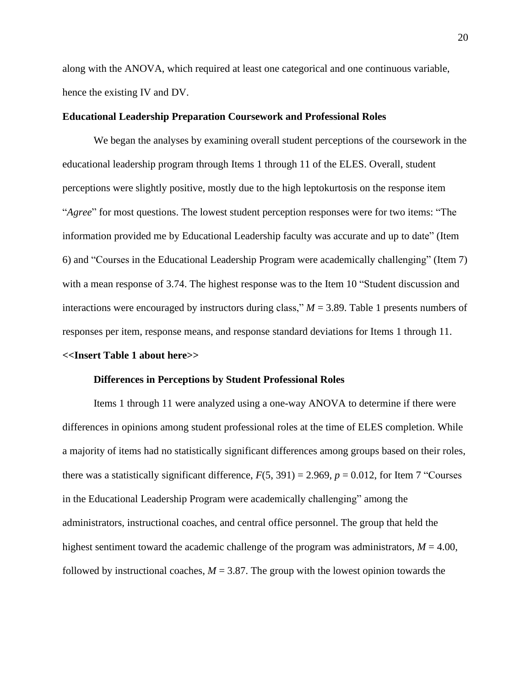along with the ANOVA, which required at least one categorical and one continuous variable, hence the existing IV and DV.

#### **Educational Leadership Preparation Coursework and Professional Roles**

We began the analyses by examining overall student perceptions of the coursework in the educational leadership program through Items 1 through 11 of the ELES. Overall, student perceptions were slightly positive, mostly due to the high leptokurtosis on the response item "*Agree*" for most questions. The lowest student perception responses were for two items: "The information provided me by Educational Leadership faculty was accurate and up to date" (Item 6) and "Courses in the Educational Leadership Program were academically challenging" (Item 7) with a mean response of 3.74. The highest response was to the Item 10 "Student discussion and interactions were encouraged by instructors during class,"  $M = 3.89$ . Table 1 presents numbers of responses per item, response means, and response standard deviations for Items 1 through 11. **<<Insert Table 1 about here>>**

# **Differences in Perceptions by Student Professional Roles**

Items 1 through 11 were analyzed using a one-way ANOVA to determine if there were differences in opinions among student professional roles at the time of ELES completion. While a majority of items had no statistically significant differences among groups based on their roles, there was a statistically significant difference,  $F(5, 391) = 2.969$ ,  $p = 0.012$ , for Item 7 "Courses" in the Educational Leadership Program were academically challenging" among the administrators, instructional coaches, and central office personnel. The group that held the highest sentiment toward the academic challenge of the program was administrators,  $M = 4.00$ , followed by instructional coaches,  $M = 3.87$ . The group with the lowest opinion towards the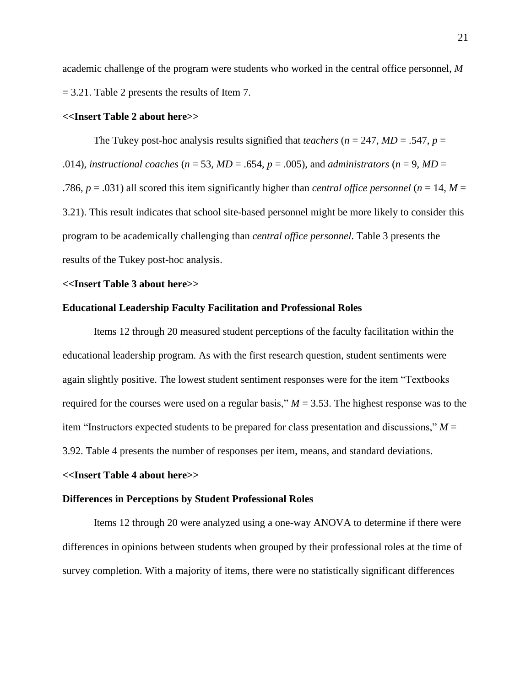academic challenge of the program were students who worked in the central office personnel, *M* = 3.21. Table 2 presents the results of Item 7.

#### **<<Insert Table 2 about here>>**

The Tukey post-hoc analysis results signified that *teachers* ( $n = 247$ ,  $MD = .547$ ,  $p =$ .014), *instructional coaches* ( $n = 53$ ,  $MD = .654$ ,  $p = .005$ ), and *administrators* ( $n = 9$ ,  $MD =$ .786,  $p = .031$ ) all scored this item significantly higher than *central office personnel* ( $n = 14$ ,  $M =$ 3.21). This result indicates that school site-based personnel might be more likely to consider this program to be academically challenging than *central office personnel*. Table 3 presents the results of the Tukey post-hoc analysis.

#### **<<Insert Table 3 about here>>**

#### **Educational Leadership Faculty Facilitation and Professional Roles**

Items 12 through 20 measured student perceptions of the faculty facilitation within the educational leadership program. As with the first research question, student sentiments were again slightly positive. The lowest student sentiment responses were for the item "Textbooks required for the courses were used on a regular basis,"  $M = 3.53$ . The highest response was to the item "Instructors expected students to be prepared for class presentation and discussions," *M* = 3.92. Table 4 presents the number of responses per item, means, and standard deviations.

#### **<<Insert Table 4 about here>>**

#### **Differences in Perceptions by Student Professional Roles**

Items 12 through 20 were analyzed using a one-way ANOVA to determine if there were differences in opinions between students when grouped by their professional roles at the time of survey completion. With a majority of items, there were no statistically significant differences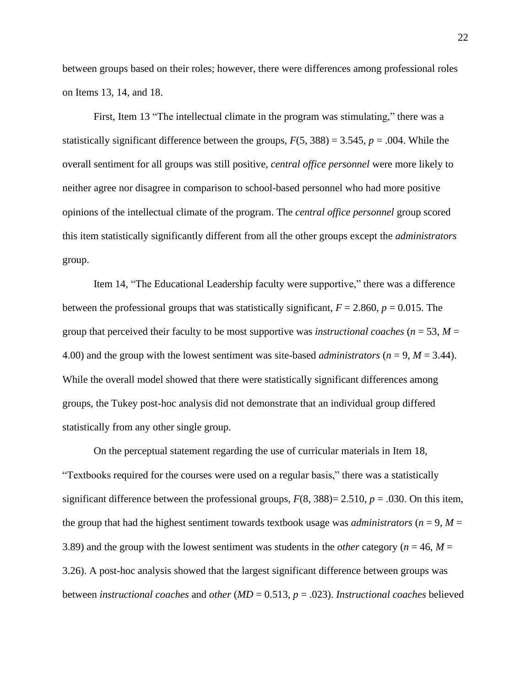between groups based on their roles; however, there were differences among professional roles on Items 13, 14, and 18.

First, Item 13 "The intellectual climate in the program was stimulating," there was a statistically significant difference between the groups,  $F(5, 388) = 3.545$ ,  $p = .004$ . While the overall sentiment for all groups was still positive, *central office personnel* were more likely to neither agree nor disagree in comparison to school-based personnel who had more positive opinions of the intellectual climate of the program. The *central office personnel* group scored this item statistically significantly different from all the other groups except the *administrators* group.

Item 14, "The Educational Leadership faculty were supportive," there was a difference between the professional groups that was statistically significant,  $F = 2.860$ ,  $p = 0.015$ . The group that perceived their faculty to be most supportive was *instructional coaches* ( $n = 53$ ,  $M =$ 4.00) and the group with the lowest sentiment was site-based *administrators* ( $n = 9$ ,  $M = 3.44$ ). While the overall model showed that there were statistically significant differences among groups, the Tukey post-hoc analysis did not demonstrate that an individual group differed statistically from any other single group.

On the perceptual statement regarding the use of curricular materials in Item 18, "Textbooks required for the courses were used on a regular basis," there was a statistically significant difference between the professional groups,  $F(8, 388) = 2.510$ ,  $p = .030$ . On this item, the group that had the highest sentiment towards textbook usage was *administrators* ( $n = 9$ ,  $M =$ 3.89) and the group with the lowest sentiment was students in the *other* category ( $n = 46$ ,  $M =$ 3.26). A post-hoc analysis showed that the largest significant difference between groups was between *instructional coaches* and *other* (*MD* = 0.513, *p* = .023). *Instructional coaches* believed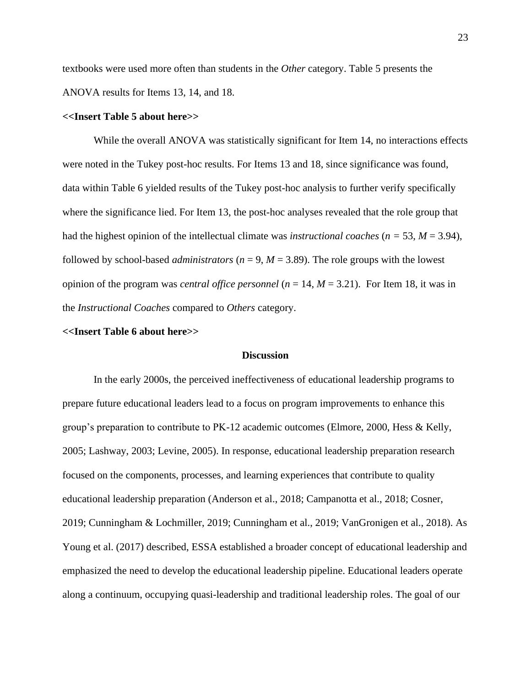textbooks were used more often than students in the *Other* category. Table 5 presents the ANOVA results for Items 13, 14, and 18.

#### **<<Insert Table 5 about here>>**

While the overall ANOVA was statistically significant for Item 14, no interactions effects were noted in the Tukey post-hoc results. For Items 13 and 18, since significance was found, data within Table 6 yielded results of the Tukey post-hoc analysis to further verify specifically where the significance lied. For Item 13, the post-hoc analyses revealed that the role group that had the highest opinion of the intellectual climate was *instructional coaches* ( $n = 53$ ,  $M = 3.94$ ), followed by school-based *administrators* ( $n = 9$ ,  $M = 3.89$ ). The role groups with the lowest opinion of the program was *central office personnel* (*n* = 14, *M* = 3.21). For Item 18, it was in the *Instructional Coaches* compared to *Others* category.

#### **<<Insert Table 6 about here>>**

#### **Discussion**

In the early 2000s, the perceived ineffectiveness of educational leadership programs to prepare future educational leaders lead to a focus on program improvements to enhance this group's preparation to contribute to PK-12 academic outcomes (Elmore, 2000, Hess & Kelly, 2005; Lashway, 2003; Levine, 2005). In response, educational leadership preparation research focused on the components, processes, and learning experiences that contribute to quality educational leadership preparation (Anderson et al., 2018; Campanotta et al., 2018; Cosner, 2019; Cunningham & Lochmiller, 2019; Cunningham et al., 2019; VanGronigen et al., 2018). As Young et al. (2017) described, ESSA established a broader concept of educational leadership and emphasized the need to develop the educational leadership pipeline. Educational leaders operate along a continuum, occupying quasi-leadership and traditional leadership roles. The goal of our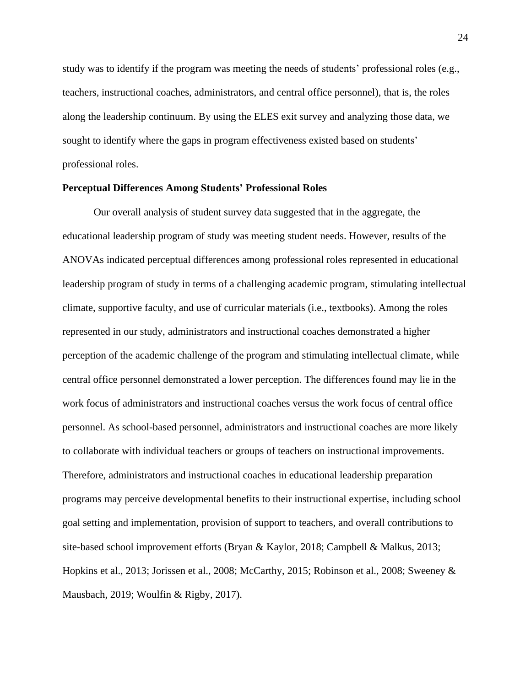study was to identify if the program was meeting the needs of students' professional roles (e.g., teachers, instructional coaches, administrators, and central office personnel), that is, the roles along the leadership continuum. By using the ELES exit survey and analyzing those data, we sought to identify where the gaps in program effectiveness existed based on students' professional roles.

#### **Perceptual Differences Among Students' Professional Roles**

Our overall analysis of student survey data suggested that in the aggregate, the educational leadership program of study was meeting student needs. However, results of the ANOVAs indicated perceptual differences among professional roles represented in educational leadership program of study in terms of a challenging academic program, stimulating intellectual climate, supportive faculty, and use of curricular materials (i.e., textbooks). Among the roles represented in our study, administrators and instructional coaches demonstrated a higher perception of the academic challenge of the program and stimulating intellectual climate, while central office personnel demonstrated a lower perception. The differences found may lie in the work focus of administrators and instructional coaches versus the work focus of central office personnel. As school-based personnel, administrators and instructional coaches are more likely to collaborate with individual teachers or groups of teachers on instructional improvements. Therefore, administrators and instructional coaches in educational leadership preparation programs may perceive developmental benefits to their instructional expertise, including school goal setting and implementation, provision of support to teachers, and overall contributions to site-based school improvement efforts (Bryan & Kaylor, 2018; Campbell & Malkus, 2013; Hopkins et al., 2013; Jorissen et al., 2008; McCarthy, 2015; Robinson et al., 2008; Sweeney & Mausbach, 2019; Woulfin & Rigby, 2017).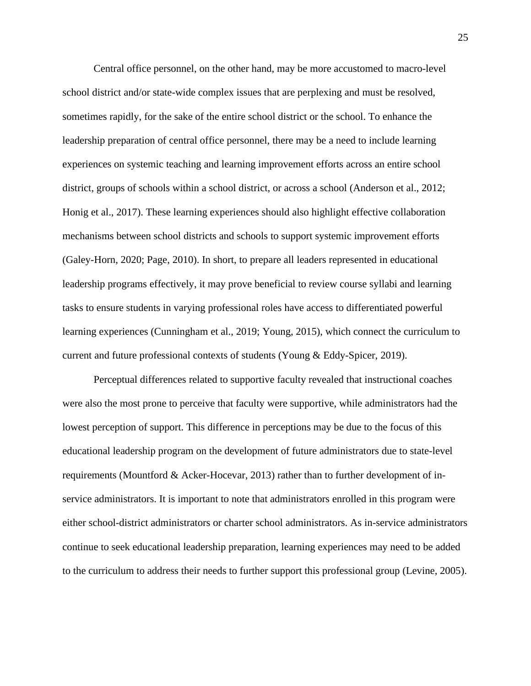Central office personnel, on the other hand, may be more accustomed to macro-level school district and/or state-wide complex issues that are perplexing and must be resolved, sometimes rapidly, for the sake of the entire school district or the school. To enhance the leadership preparation of central office personnel, there may be a need to include learning experiences on systemic teaching and learning improvement efforts across an entire school district, groups of schools within a school district, or across a school (Anderson et al., 2012; Honig et al., 2017). These learning experiences should also highlight effective collaboration mechanisms between school districts and schools to support systemic improvement efforts (Galey-Horn, 2020; Page, 2010). In short, to prepare all leaders represented in educational leadership programs effectively, it may prove beneficial to review course syllabi and learning tasks to ensure students in varying professional roles have access to differentiated powerful learning experiences (Cunningham et al., 2019; Young, 2015), which connect the curriculum to current and future professional contexts of students (Young & Eddy-Spicer, 2019).

Perceptual differences related to supportive faculty revealed that instructional coaches were also the most prone to perceive that faculty were supportive, while administrators had the lowest perception of support. This difference in perceptions may be due to the focus of this educational leadership program on the development of future administrators due to state-level requirements (Mountford & Acker-Hocevar, 2013) rather than to further development of inservice administrators. It is important to note that administrators enrolled in this program were either school-district administrators or charter school administrators. As in-service administrators continue to seek educational leadership preparation, learning experiences may need to be added to the curriculum to address their needs to further support this professional group (Levine, 2005).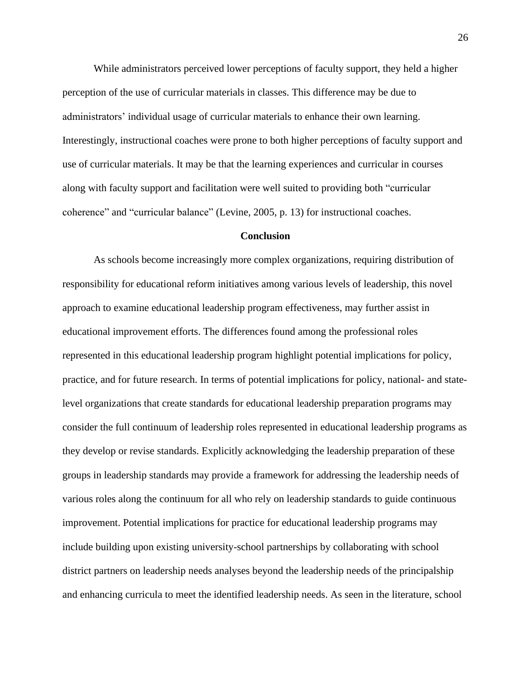While administrators perceived lower perceptions of faculty support, they held a higher perception of the use of curricular materials in classes. This difference may be due to administrators' individual usage of curricular materials to enhance their own learning. Interestingly, instructional coaches were prone to both higher perceptions of faculty support and use of curricular materials. It may be that the learning experiences and curricular in courses along with faculty support and facilitation were well suited to providing both "curricular coherence" and "curricular balance" (Levine, 2005, p. 13) for instructional coaches.

#### **Conclusion**

As schools become increasingly more complex organizations, requiring distribution of responsibility for educational reform initiatives among various levels of leadership, this novel approach to examine educational leadership program effectiveness, may further assist in educational improvement efforts. The differences found among the professional roles represented in this educational leadership program highlight potential implications for policy, practice, and for future research. In terms of potential implications for policy, national- and statelevel organizations that create standards for educational leadership preparation programs may consider the full continuum of leadership roles represented in educational leadership programs as they develop or revise standards. Explicitly acknowledging the leadership preparation of these groups in leadership standards may provide a framework for addressing the leadership needs of various roles along the continuum for all who rely on leadership standards to guide continuous improvement. Potential implications for practice for educational leadership programs may include building upon existing university-school partnerships by collaborating with school district partners on leadership needs analyses beyond the leadership needs of the principalship and enhancing curricula to meet the identified leadership needs. As seen in the literature, school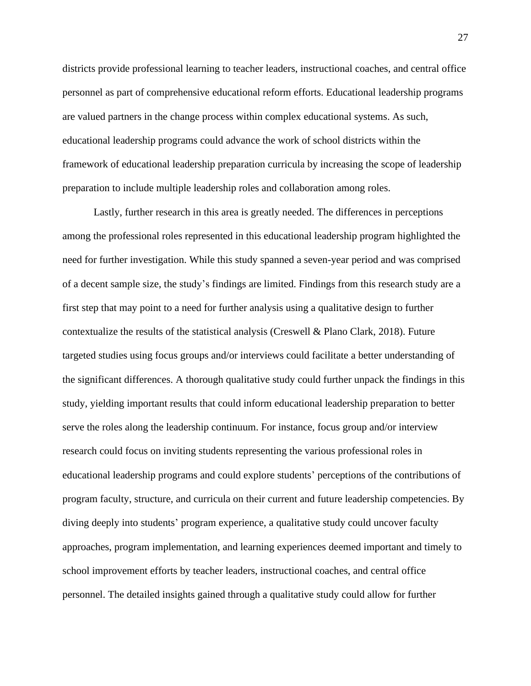districts provide professional learning to teacher leaders, instructional coaches, and central office personnel as part of comprehensive educational reform efforts. Educational leadership programs are valued partners in the change process within complex educational systems. As such, educational leadership programs could advance the work of school districts within the framework of educational leadership preparation curricula by increasing the scope of leadership preparation to include multiple leadership roles and collaboration among roles.

Lastly, further research in this area is greatly needed. The differences in perceptions among the professional roles represented in this educational leadership program highlighted the need for further investigation. While this study spanned a seven-year period and was comprised of a decent sample size, the study's findings are limited. Findings from this research study are a first step that may point to a need for further analysis using a qualitative design to further contextualize the results of the statistical analysis (Creswell & Plano Clark, 2018). Future targeted studies using focus groups and/or interviews could facilitate a better understanding of the significant differences. A thorough qualitative study could further unpack the findings in this study, yielding important results that could inform educational leadership preparation to better serve the roles along the leadership continuum. For instance, focus group and/or interview research could focus on inviting students representing the various professional roles in educational leadership programs and could explore students' perceptions of the contributions of program faculty, structure, and curricula on their current and future leadership competencies. By diving deeply into students' program experience, a qualitative study could uncover faculty approaches, program implementation, and learning experiences deemed important and timely to school improvement efforts by teacher leaders, instructional coaches, and central office personnel. The detailed insights gained through a qualitative study could allow for further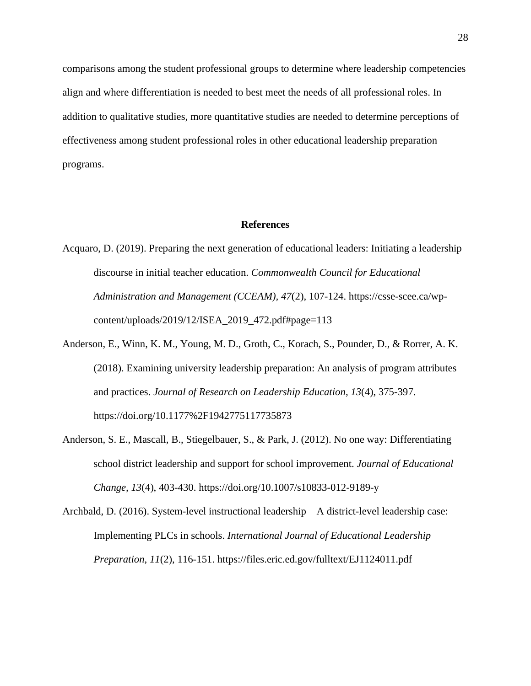comparisons among the student professional groups to determine where leadership competencies align and where differentiation is needed to best meet the needs of all professional roles. In addition to qualitative studies, more quantitative studies are needed to determine perceptions of effectiveness among student professional roles in other educational leadership preparation programs.

#### **References**

- Acquaro, D. (2019). Preparing the next generation of educational leaders: Initiating a leadership discourse in initial teacher education. *Commonwealth Council for Educational Administration and Management (CCEAM), 47*(2), 107-124. https://csse-scee.ca/wpcontent/uploads/2019/12/ISEA\_2019\_472.pdf#page=113
- Anderson, E., Winn, K. M., Young, M. D., Groth, C., Korach, S., Pounder, D., & Rorrer, A. K. (2018). Examining university leadership preparation: An analysis of program attributes and practices. *Journal of Research on Leadership Education*, *13*(4), 375-397. https://doi.org/10.1177%2F1942775117735873
- Anderson, S. E., Mascall, B., Stiegelbauer, S., & Park, J. (2012). No one way: Differentiating school district leadership and support for school improvement. *Journal of Educational Change, 13*(4), 403-430. https://doi.org/10.1007/s10833-012-9189-y
- Archbald, D. (2016). System-level instructional leadership A district-level leadership case: Implementing PLCs in schools. *International Journal of Educational Leadership Preparation*, *11*(2), 116-151. https://files.eric.ed.gov/fulltext/EJ1124011.pdf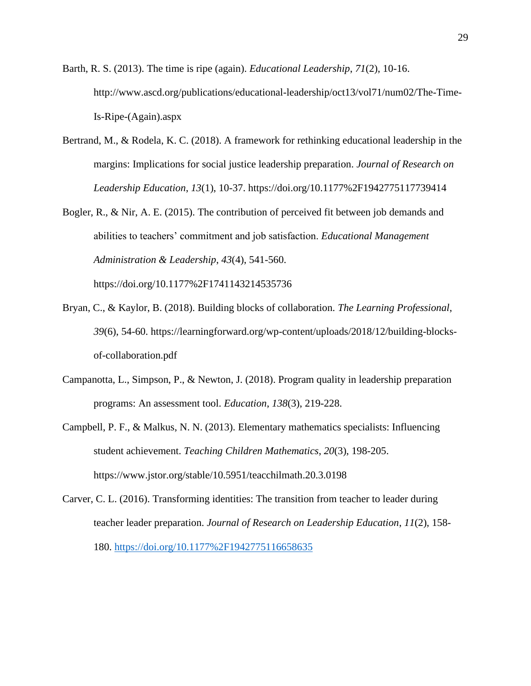- Barth, R. S. (2013). The time is ripe (again). *Educational Leadership*, *71*(2), 10-16. http://www.ascd.org/publications/educational-leadership/oct13/vol71/num02/The-Time-Is-Ripe-(Again).aspx
- Bertrand, M., & Rodela, K. C. (2018). A framework for rethinking educational leadership in the margins: Implications for social justice leadership preparation. *Journal of Research on Leadership Education*, *13*(1), 10-37. https://doi.org/10.1177%2F1942775117739414
- Bogler, R., & Nir, A. E. (2015). The contribution of perceived fit between job demands and abilities to teachers' commitment and job satisfaction. *Educational Management Administration & Leadership*, *43*(4), 541-560.

https://doi.org/10.1177%2F1741143214535736

- Bryan, C., & Kaylor, B. (2018). Building blocks of collaboration. *The Learning Professional*, *39*(6), 54-60. https://learningforward.org/wp-content/uploads/2018/12/building-blocksof-collaboration.pdf
- Campanotta, L., Simpson, P., & Newton, J. (2018). Program quality in leadership preparation programs: An assessment tool. *Education*, *138*(3), 219-228.
- Campbell, P. F., & Malkus, N. N. (2013). Elementary mathematics specialists: Influencing student achievement. *Teaching Children Mathematics*, *20*(3), 198-205. https://www.jstor.org/stable/10.5951/teacchilmath.20.3.0198
- Carver, C. L. (2016). Transforming identities: The transition from teacher to leader during teacher leader preparation. *Journal of Research on Leadership Education*, *11*(2), 158- 180.<https://doi.org/10.1177%2F1942775116658635>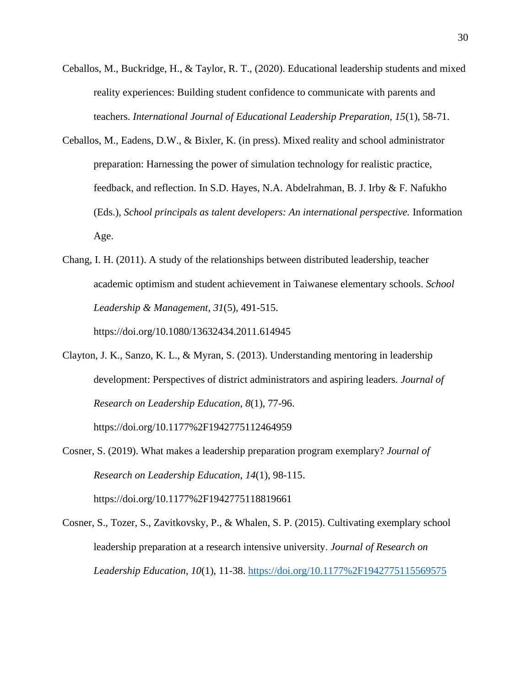- Ceballos, M., Buckridge, H., & Taylor, R. T., (2020). Educational leadership students and mixed reality experiences: Building student confidence to communicate with parents and teachers. *International Journal of Educational Leadership Preparation, 15*(1), 58-71.
- Ceballos, M., Eadens, D.W., & Bixler, K. (in press). Mixed reality and school administrator preparation: Harnessing the power of simulation technology for realistic practice, feedback, and reflection*.* In S.D. Hayes, N.A. Abdelrahman, B. J. Irby & F. Nafukho (Eds.), *School principals as talent developers: An international perspective.* Information Age.
- Chang, I. H. (2011). A study of the relationships between distributed leadership, teacher academic optimism and student achievement in Taiwanese elementary schools. *School Leadership & Management*, *31*(5), 491-515. https://doi.org/10.1080/13632434.2011.614945
- Clayton, J. K., Sanzo, K. L., & Myran, S. (2013). Understanding mentoring in leadership development: Perspectives of district administrators and aspiring leaders. *Journal of Research on Leadership Education*, *8*(1), 77-96.

https://doi.org/10.1177%2F1942775112464959

- Cosner, S. (2019). What makes a leadership preparation program exemplary? *Journal of Research on Leadership Education*, *14*(1), 98-115. https://doi.org/10.1177%2F1942775118819661
- Cosner, S., Tozer, S., Zavitkovsky, P., & Whalen, S. P. (2015). Cultivating exemplary school leadership preparation at a research intensive university. *Journal of Research on Leadership Education*, *10*(1), 11-38.<https://doi.org/10.1177%2F1942775115569575>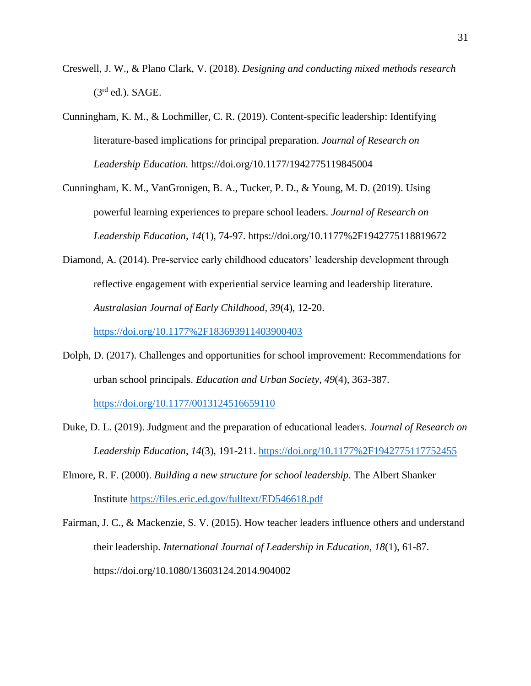- Creswell, J. W., & Plano Clark, V. (2018). *Designing and conducting mixed methods research*  $(3<sup>rd</sup>$  ed.). SAGE.
- Cunningham, K. M., & Lochmiller, C. R. (2019). Content-specific leadership: Identifying literature-based implications for principal preparation. *Journal of Research on Leadership Education.* https://doi.org/10.1177/1942775119845004

Cunningham, K. M., VanGronigen, B. A., Tucker, P. D., & Young, M. D. (2019). Using powerful learning experiences to prepare school leaders. *Journal of Research on Leadership Education*, *14*(1), 74-97. https://doi.org/10.1177%2F1942775118819672

Diamond, A. (2014). Pre-service early childhood educators' leadership development through reflective engagement with experiential service learning and leadership literature. *Australasian Journal of Early Childhood*, *39*(4), 12-20.

<https://doi.org/10.1177%2F183693911403900403>

Dolph, D. (2017). Challenges and opportunities for school improvement: Recommendations for urban school principals. *Education and Urban Society, 49*(4), 363-387.

<https://doi.org/10.1177/0013124516659110>

- Duke, D. L. (2019). Judgment and the preparation of educational leaders. *Journal of Research on Leadership Education*, *14*(3), 191-211.<https://doi.org/10.1177%2F1942775117752455>
- Elmore, R. F. (2000). *Building a new structure for school leadership*. The Albert Shanker Institute <https://files.eric.ed.gov/fulltext/ED546618.pdf>
- Fairman, J. C., & Mackenzie, S. V. (2015). How teacher leaders influence others and understand their leadership. *International Journal of Leadership in Education*, *18*(1), 61-87. https://doi.org/10.1080/13603124.2014.904002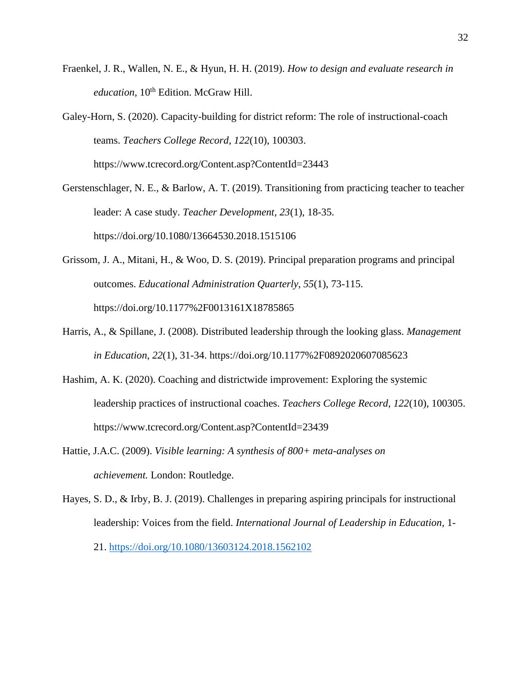- Fraenkel, J. R., Wallen, N. E., & Hyun, H. H. (2019). *How to design and evaluate research in education*, 10<sup>th</sup> Edition. McGraw Hill.
- Galey-Horn, S. (2020). Capacity-building for district reform: The role of instructional-coach teams. *Teachers College Record*, *122*(10), 100303. https://www.tcrecord.org/Content.asp?ContentId=23443
- Gerstenschlager, N. E., & Barlow, A. T. (2019). Transitioning from practicing teacher to teacher leader: A case study. *Teacher Development*, *23*(1), 18-35. https://doi.org/10.1080/13664530.2018.1515106
- Grissom, J. A., Mitani, H., & Woo, D. S. (2019). Principal preparation programs and principal outcomes. *Educational Administration Quarterly*, *55*(1), 73-115. https://doi.org/10.1177%2F0013161X18785865
- Harris, A., & Spillane, J. (2008). Distributed leadership through the looking glass. *Management in Education*, *22*(1), 31-34. https://doi.org/10.1177%2F0892020607085623
- Hashim, A. K. (2020). Coaching and districtwide improvement: Exploring the systemic leadership practices of instructional coaches. *Teachers College Record*, *122*(10), 100305. https://www.tcrecord.org/Content.asp?ContentId=23439
- Hattie, J.A.C. (2009). *Visible learning: A synthesis of 800+ meta-analyses on achievement.* London: Routledge.
- Hayes, S. D., & Irby, B. J. (2019). Challenges in preparing aspiring principals for instructional leadership: Voices from the field. *International Journal of Leadership in Education,* 1- 21.<https://doi.org/10.1080/13603124.2018.1562102>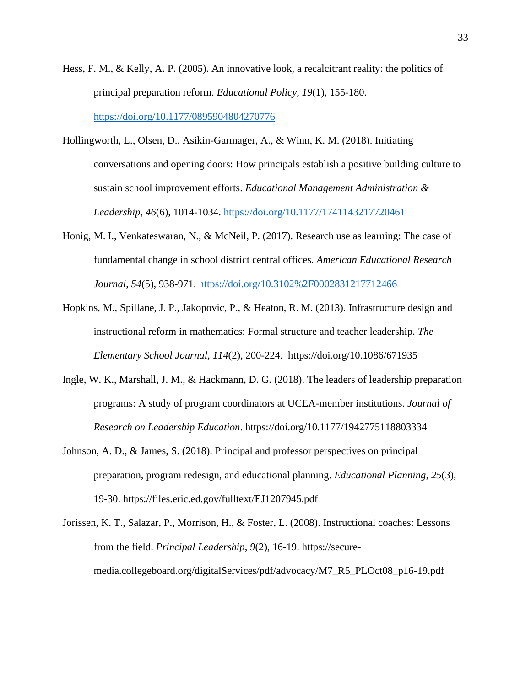- Hess, F. M., & Kelly, A. P. (2005). An innovative look, a recalcitrant reality: the politics of principal preparation reform. *Educational Policy, 19*(1), 155-180. <https://doi.org/10.1177/0895904804270776>
- Hollingworth, L., Olsen, D., Asikin-Garmager, A., & Winn, K. M. (2018). Initiating conversations and opening doors: How principals establish a positive building culture to sustain school improvement efforts. *Educational Management Administration & Leadership, 46*(6), 1014-1034.<https://doi.org/10.1177/1741143217720461>
- Honig, M. I., Venkateswaran, N., & McNeil, P. (2017). Research use as learning: The case of fundamental change in school district central offices. *American Educational Research Journal*, *54*(5), 938-971.<https://doi.org/10.3102%2F0002831217712466>
- Hopkins, M., Spillane, J. P., Jakopovic, P., & Heaton, R. M. (2013). Infrastructure design and instructional reform in mathematics: Formal structure and teacher leadership. *The Elementary School Journal, 114*(2), 200-224. https://doi.org/10.1086/671935
- Ingle, W. K., Marshall, J. M., & Hackmann, D. G. (2018). The leaders of leadership preparation programs: A study of program coordinators at UCEA-member institutions. *Journal of Research on Leadership Education*. https://doi.org/10.1177/1942775118803334
- Johnson, A. D., & James, S. (2018). Principal and professor perspectives on principal preparation, program redesign, and educational planning. *Educational Planning*, *25*(3), 19-30. https://files.eric.ed.gov/fulltext/EJ1207945.pdf
- Jorissen, K. T., Salazar, P., Morrison, H., & Foster, L. (2008). Instructional coaches: Lessons from the field. *Principal Leadership*, *9*(2), 16-19. https://securemedia.collegeboard.org/digitalServices/pdf/advocacy/M7\_R5\_PLOct08\_p16-19.pdf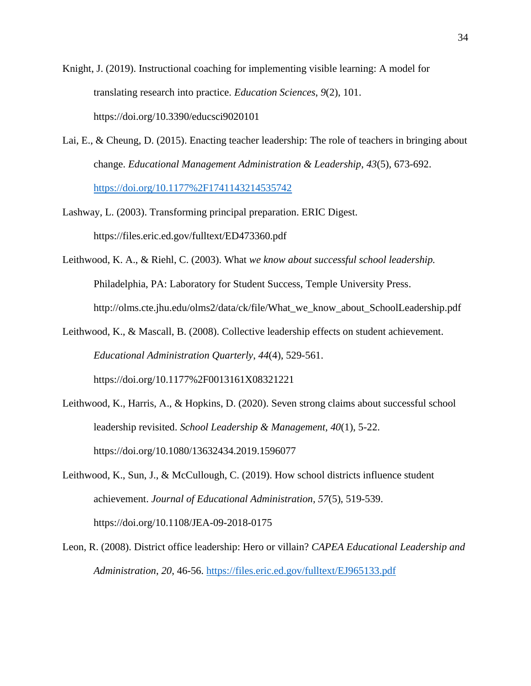Knight, J. (2019). Instructional coaching for implementing visible learning: A model for translating research into practice. *Education Sciences*, *9*(2), 101. https://doi.org/10.3390/educsci9020101

- Lai, E., & Cheung, D. (2015). Enacting teacher leadership: The role of teachers in bringing about change. *Educational Management Administration & Leadership*, *43*(5), 673-692. <https://doi.org/10.1177%2F1741143214535742>
- Lashway, L. (2003). Transforming principal preparation. ERIC Digest. https://files.eric.ed.gov/fulltext/ED473360.pdf
- Leithwood, K. A., & Riehl, C. (2003). What *we know about successful school leadership.*  Philadelphia, PA: Laboratory for Student Success, Temple University Press. http://olms.cte.jhu.edu/olms2/data/ck/file/What\_we\_know\_about\_SchoolLeadership.pdf
- Leithwood, K., & Mascall, B. (2008). Collective leadership effects on student achievement. *Educational Administration Quarterly*, *44*(4), 529-561. https://doi.org/10.1177%2F0013161X08321221
- Leithwood, K., Harris, A., & Hopkins, D. (2020). Seven strong claims about successful school leadership revisited. *School Leadership & Management, 40*(1), 5-22. https://doi.org/10.1080/13632434.2019.1596077
- Leithwood, K., Sun, J., & McCullough, C. (2019). How school districts influence student achievement. *Journal of Educational Administration, 57*(5), 519-539. https://doi.org/10.1108/JEA-09-2018-0175
- Leon, R. (2008). District office leadership: Hero or villain? *CAPEA Educational Leadership and Administration*, *20*, 46-56.<https://files.eric.ed.gov/fulltext/EJ965133.pdf>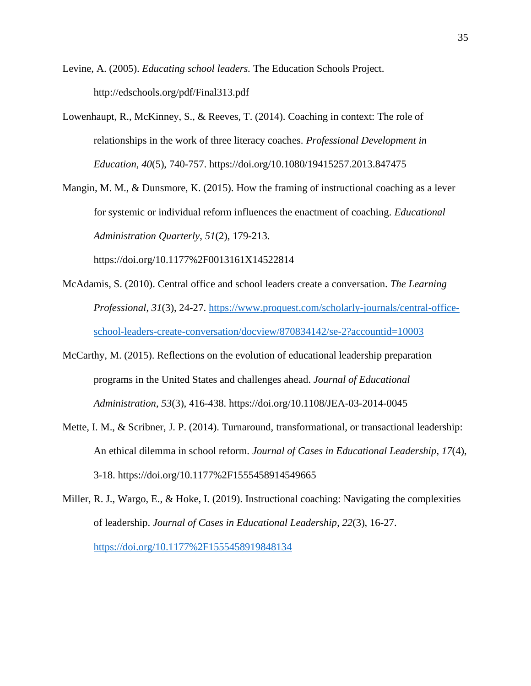Levine, A. (2005). *Educating school leaders.* The Education Schools Project. http://edschools.org/pdf/Final313.pdf

- Lowenhaupt, R., McKinney, S., & Reeves, T. (2014). Coaching in context: The role of relationships in the work of three literacy coaches. *Professional Development in Education*, *40*(5), 740-757. https://doi.org/10.1080/19415257.2013.847475
- Mangin, M. M., & Dunsmore, K. (2015). How the framing of instructional coaching as a lever for systemic or individual reform influences the enactment of coaching. *Educational Administration Quarterly*, *51*(2), 179-213.

https://doi.org/10.1177%2F0013161X14522814

- McAdamis, S. (2010). Central office and school leaders create a conversation. *The Learning Professional*, *31*(3), 24-27. [https://www.proquest.com/scholarly-journals/central-office](https://www.proquest.com/scholarly-journals/central-office-school-leaders-create-conversation/docview/870834142/se-2?accountid=10003)[school-leaders-create-conversation/docview/870834142/se-2?accountid=10003](https://www.proquest.com/scholarly-journals/central-office-school-leaders-create-conversation/docview/870834142/se-2?accountid=10003)
- McCarthy, M. (2015). Reflections on the evolution of educational leadership preparation programs in the United States and challenges ahead. *Journal of Educational Administration, 53*(3), 416-438. https://doi.org/10.1108/JEA-03-2014-0045
- Mette, I. M., & Scribner, J. P. (2014). Turnaround, transformational, or transactional leadership: An ethical dilemma in school reform. *Journal of Cases in Educational Leadership*, *17*(4), 3-18. https://doi.org/10.1177%2F1555458914549665
- Miller, R. J., Wargo, E., & Hoke, I. (2019). Instructional coaching: Navigating the complexities of leadership. *Journal of Cases in Educational Leadership*, *22*(3), 16-27. <https://doi.org/10.1177%2F1555458919848134>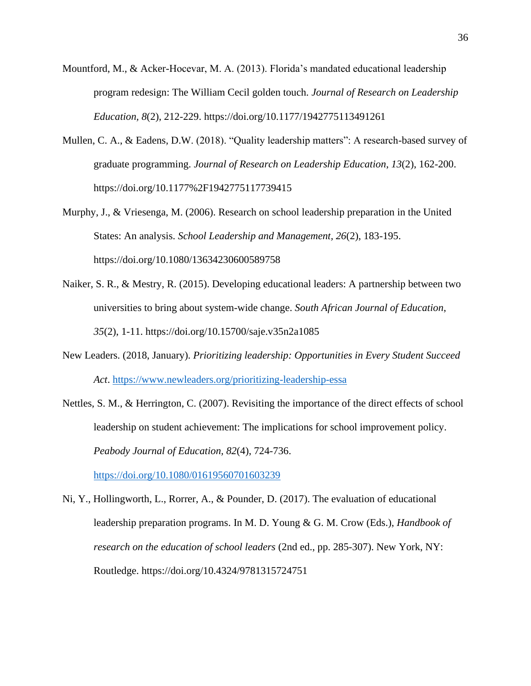- Mountford, M., & Acker-Hocevar, M. A. (2013). Florida's mandated educational leadership program redesign: The William Cecil golden touch. *Journal of Research on Leadership Education, 8*(2), 212-229. https://doi.org/10.1177/1942775113491261
- Mullen, C. A., & Eadens, D.W. (2018). "Quality leadership matters": A research-based survey of graduate programming. *Journal of Research on Leadership Education*, *13*(2), 162-200. https://doi.org/10.1177%2F1942775117739415
- Murphy, J., & Vriesenga, M. (2006). Research on school leadership preparation in the United States: An analysis. *School Leadership and Management, 26*(2), 183-195. https://doi.org/10.1080/13634230600589758
- Naiker, S. R., & Mestry, R. (2015). Developing educational leaders: A partnership between two universities to bring about system-wide change. *South African Journal of Education*, *35*(2), 1-11. https://doi.org/10.15700/saje.v35n2a1085
- New Leaders. (2018, January). *Prioritizing leadership: Opportunities in Every Student Succeed Act*.<https://www.newleaders.org/prioritizing-leadership-essa>
- Nettles, S. M., & Herrington, C. (2007). Revisiting the importance of the direct effects of school leadership on student achievement: The implications for school improvement policy. *Peabody Journal of Education, 82*(4), 724-736.

<https://doi.org/10.1080/01619560701603239>

Ni, Y., Hollingworth, L., Rorrer, A., & Pounder, D. (2017). The evaluation of educational leadership preparation programs. In M. D. Young & G. M. Crow (Eds.), *Handbook of research on the education of school leaders* (2nd ed., pp. 285-307). New York, NY: Routledge. https://doi.org/10.4324/9781315724751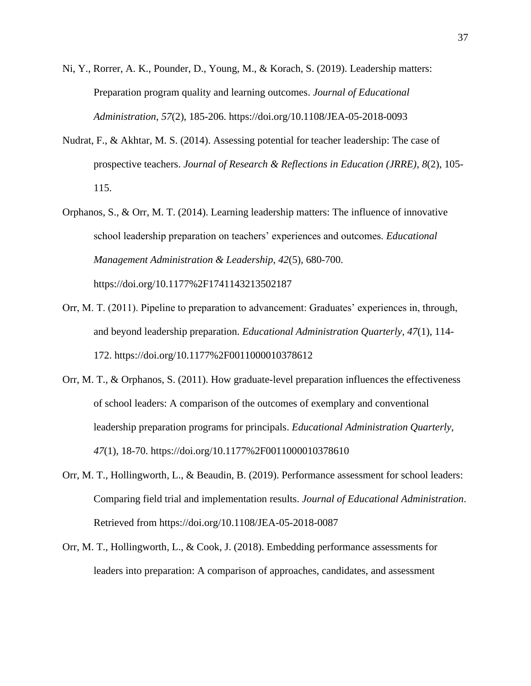- Ni, Y., Rorrer, A. K., Pounder, D., Young, M., & Korach, S. (2019). Leadership matters: Preparation program quality and learning outcomes. *Journal of Educational Administration*, *57*(2), 185-206. https://doi.org/10.1108/JEA-05-2018-0093
- Nudrat, F., & Akhtar, M. S. (2014). Assessing potential for teacher leadership: The case of prospective teachers. *Journal of Research & Reflections in Education (JRRE)*, *8*(2), 105- 115.
- Orphanos, S., & Orr, M. T. (2014). Learning leadership matters: The influence of innovative school leadership preparation on teachers' experiences and outcomes. *Educational Management Administration & Leadership*, *42*(5), 680-700. https://doi.org/10.1177%2F1741143213502187
- Orr, M. T. (2011). Pipeline to preparation to advancement: Graduates' experiences in, through, and beyond leadership preparation. *Educational Administration Quarterly*, *47*(1), 114- 172. https://doi.org/10.1177%2F0011000010378612
- Orr, M. T., & Orphanos, S. (2011). How graduate-level preparation influences the effectiveness of school leaders: A comparison of the outcomes of exemplary and conventional leadership preparation programs for principals. *Educational Administration Quarterly, 47*(1), 18-70. https://doi.org/10.1177%2F0011000010378610
- Orr, M. T., Hollingworth, L., & Beaudin, B. (2019). Performance assessment for school leaders: Comparing field trial and implementation results. *Journal of Educational Administration*. Retrieved from https://doi.org/10.1108/JEA-05-2018-0087
- Orr, M. T., Hollingworth, L., & Cook, J. (2018). Embedding performance assessments for leaders into preparation: A comparison of approaches, candidates, and assessment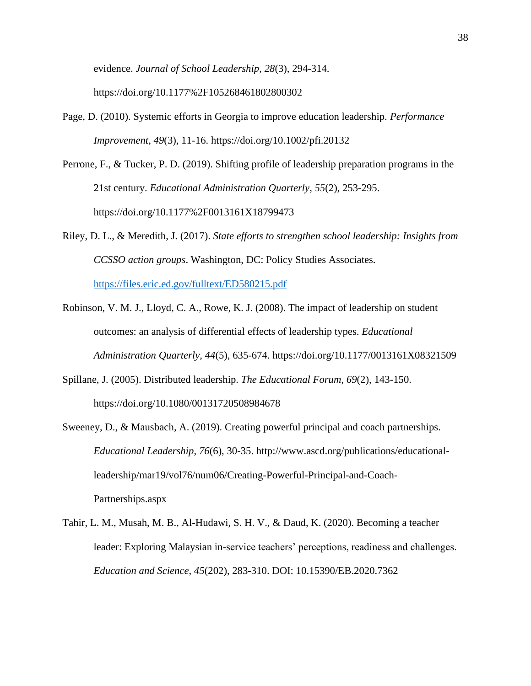evidence. *Journal of School Leadership*, *28*(3), 294-314.

https://doi.org/10.1177%2F105268461802800302

- Page, D. (2010). Systemic efforts in Georgia to improve education leadership. *Performance Improvement*, *49*(3), 11-16. https://doi.org/10.1002/pfi.20132
- Perrone, F., & Tucker, P. D. (2019). Shifting profile of leadership preparation programs in the 21st century. *Educational Administration Quarterly*, *55*(2), 253-295. https://doi.org/10.1177%2F0013161X18799473
- Riley, D. L., & Meredith, J. (2017). *State efforts to strengthen school leadership: Insights from CCSSO action groups*. Washington, DC: Policy Studies Associates.

<https://files.eric.ed.gov/fulltext/ED580215.pdf>

- Robinson, V. M. J., Lloyd, C. A., Rowe, K. J. (2008). The impact of leadership on student outcomes: an analysis of differential effects of leadership types. *Educational Administration Quarterly, 44*(5), 635-674. https://doi.org/10.1177/0013161X08321509
- Spillane, J. (2005). Distributed leadership. *The Educational Forum, 69*(2), 143-150. https://doi.org/10.1080/00131720508984678
- Sweeney, D., & Mausbach, A. (2019). Creating powerful principal and coach partnerships. *Educational Leadership*, *76*(6), 30-35. http://www.ascd.org/publications/educationalleadership/mar19/vol76/num06/Creating-Powerful-Principal-and-Coach-Partnerships.aspx
- Tahir, L. M., Musah, M. B., Al-Hudawi, S. H. V., & Daud, K. (2020). Becoming a teacher leader: Exploring Malaysian in-service teachers' perceptions, readiness and challenges. *Education and Science*, *45*(202), 283-310. DOI: 10.15390/EB.2020.7362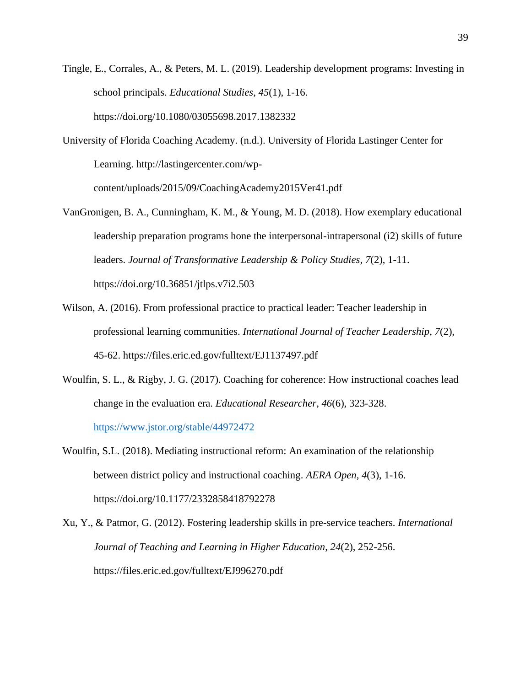- Tingle, E., Corrales, A., & Peters, M. L. (2019). Leadership development programs: Investing in school principals. *Educational Studies*, *45*(1), 1-16. https://doi.org/10.1080/03055698.2017.1382332
- University of Florida Coaching Academy. (n.d.). University of Florida Lastinger Center for Learning. http://lastingercenter.com/wp-

content/uploads/2015/09/CoachingAcademy2015Ver41.pdf

- VanGronigen, B. A., Cunningham, K. M., & Young, M. D. (2018). How exemplary educational leadership preparation programs hone the interpersonal-intrapersonal (i2) skills of future leaders. *Journal of Transformative Leadership & Policy Studies*, *7*(2), 1-11. https://doi.org/10.36851/jtlps.v7i2.503
- Wilson, A. (2016). From professional practice to practical leader: Teacher leadership in professional learning communities. *International Journal of Teacher Leadership*, *7*(2), 45-62. https://files.eric.ed.gov/fulltext/EJ1137497.pdf
- Woulfin, S. L., & Rigby, J. G. (2017). Coaching for coherence: How instructional coaches lead change in the evaluation era. *Educational Researcher*, *46*(6), 323-328. <https://www.jstor.org/stable/44972472>
- Woulfin, S.L. (2018). Mediating instructional reform: An examination of the relationship between district policy and instructional coaching. *AERA Open, 4*(3), 1-16. https://doi.org/10.1177/2332858418792278
- Xu, Y., & Patmor, G. (2012). Fostering leadership skills in pre-service teachers. *International Journal of Teaching and Learning in Higher Education*, *24*(2), 252-256. https://files.eric.ed.gov/fulltext/EJ996270.pdf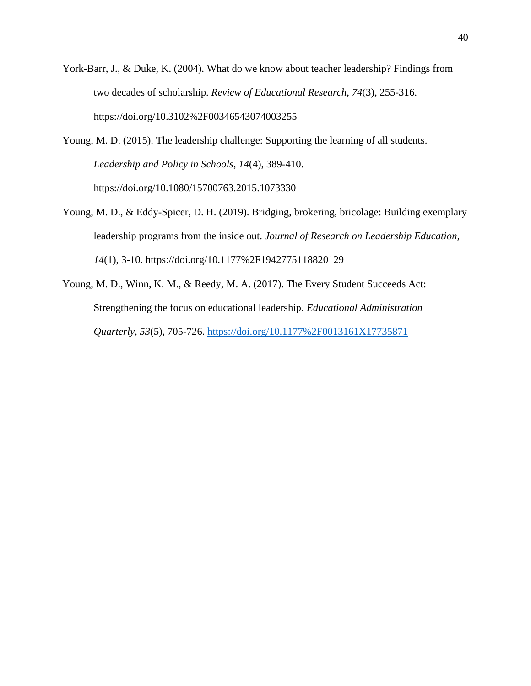- York-Barr, J., & Duke, K. (2004). What do we know about teacher leadership? Findings from two decades of scholarship. *Review of Educational Research*, *74*(3), 255-316. https://doi.org/10.3102%2F00346543074003255
- Young, M. D. (2015). The leadership challenge: Supporting the learning of all students. *Leadership and Policy in Schools*, *14*(4), 389-410. https://doi.org/10.1080/15700763.2015.1073330
- Young, M. D., & Eddy-Spicer, D. H. (2019). Bridging, brokering, bricolage: Building exemplary leadership programs from the inside out. *Journal of Research on Leadership Education, 14*(1), 3-10. https://doi.org/10.1177%2F1942775118820129
- Young, M. D., Winn, K. M., & Reedy, M. A. (2017). The Every Student Succeeds Act: Strengthening the focus on educational leadership. *Educational Administration Quarterly*, *53*(5), 705-726.<https://doi.org/10.1177%2F0013161X17735871>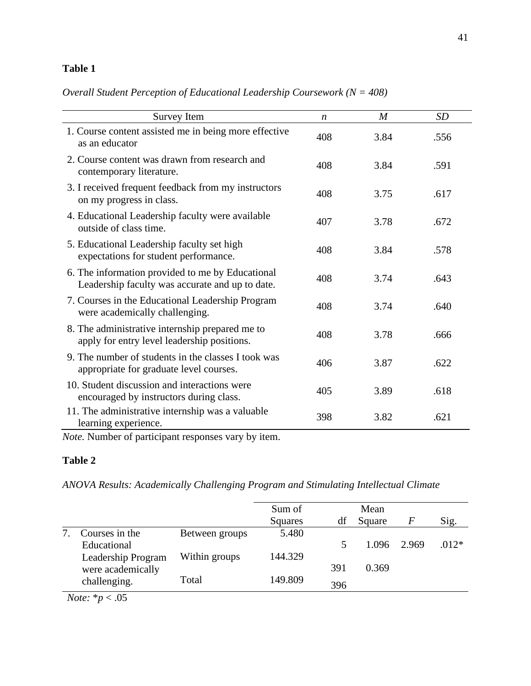## **Table 1**

*Overall Student Perception of Educational Leadership Coursework (N = 408)*

| Survey Item                                                                                         | $\boldsymbol{n}$ | $\boldsymbol{M}$ | <b>SD</b> |
|-----------------------------------------------------------------------------------------------------|------------------|------------------|-----------|
| 1. Course content assisted me in being more effective<br>as an educator                             | 408              | 3.84             | .556      |
| 2. Course content was drawn from research and<br>contemporary literature.                           | 408              | 3.84             | .591      |
| 3. I received frequent feedback from my instructors<br>on my progress in class.                     | 408              | 3.75             | .617      |
| 4. Educational Leadership faculty were available<br>outside of class time.                          | 407              | 3.78             | .672      |
| 5. Educational Leadership faculty set high<br>expectations for student performance.                 | 408              | 3.84             | .578      |
| 6. The information provided to me by Educational<br>Leadership faculty was accurate and up to date. | 408              | 3.74             | .643      |
| 7. Courses in the Educational Leadership Program<br>were academically challenging.                  | 408              | 3.74             | .640      |
| 8. The administrative internship prepared me to<br>apply for entry level leadership positions.      | 408              | 3.78             | .666      |
| 9. The number of students in the classes I took was<br>appropriate for graduate level courses.      | 406              | 3.87             | .622      |
| 10. Student discussion and interactions were<br>encouraged by instructors during class.             | 405              | 3.89             | .618      |
| 11. The administrative internship was a valuable<br>learning experience.                            | 398              | 3.82             | .621      |

*Note.* Number of participant responses vary by item.

# **Table 2**

*ANOVA Results: Academically Challenging Program and Stimulating Intellectual Climate*

|               |                             |                | Sum of         |     | Mean   |       |         |
|---------------|-----------------------------|----------------|----------------|-----|--------|-------|---------|
|               |                             |                | <b>Squares</b> | df  | Square | F     | Sig.    |
|               | Courses in the              | Between groups | 5.480          |     |        |       |         |
|               | Educational                 |                |                |     | 1.096  | 2.969 | $.012*$ |
|               | Leadership Program          | Within groups  | 144.329        |     |        |       |         |
|               | were academically           |                |                | 391 | 0.369  |       |         |
|               | challenging.                | Total          | 149.809        | 396 |        |       |         |
| $\sim$ $\sim$ | $\sim$ $-$<br>$\sim$ $\sim$ |                |                |     |        |       |         |

*Note:* \**p* < .05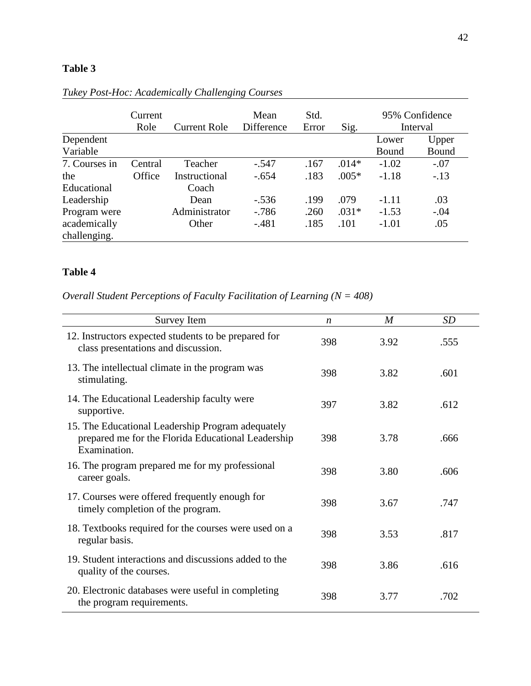## **Table 3**

|                              | Current<br>Role | <b>Current Role</b> | Mean<br>Difference | Std.<br>Error | Sig.    |         | 95% Confidence<br>Interval |
|------------------------------|-----------------|---------------------|--------------------|---------------|---------|---------|----------------------------|
| Dependent                    |                 |                     |                    |               |         | Lower   | Upper                      |
| Variable                     |                 |                     |                    |               |         | Bound   | Bound                      |
| 7. Courses in                | Central         | Teacher             | $-.547$            | .167          | $.014*$ | $-1.02$ | $-.07$                     |
| the                          | Office          | Instructional       | $-.654$            | .183          | $.005*$ | $-1.18$ | $-.13$                     |
| Educational                  |                 | Coach               |                    |               |         |         |                            |
| Leadership                   |                 | Dean                | $-.536$            | .199          | .079    | $-1.11$ | .03                        |
| Program were                 |                 | Administrator       | $-786$             | .260          | $.031*$ | $-1.53$ | $-.04$                     |
| academically<br>challenging. |                 | Other               | $-.481$            | .185          | .101    | $-1.01$ | .05                        |

*Tukey Post-Hoc: Academically Challenging Courses*

### **Table 4**

*Overall Student Perceptions of Faculty Facilitation of Learning (N = 408)*

| Survey Item                                                                                                             | $\boldsymbol{n}$ | $\overline{M}$ | SD   |
|-------------------------------------------------------------------------------------------------------------------------|------------------|----------------|------|
| 12. Instructors expected students to be prepared for<br>class presentations and discussion.                             | 398              | 3.92           | .555 |
| 13. The intellectual climate in the program was<br>stimulating.                                                         | 398              | 3.82           | .601 |
| 14. The Educational Leadership faculty were<br>supportive.                                                              | 397              | 3.82           | .612 |
| 15. The Educational Leadership Program adequately<br>prepared me for the Florida Educational Leadership<br>Examination. | 398              | 3.78           | .666 |
| 16. The program prepared me for my professional<br>career goals.                                                        | 398              | 3.80           | .606 |
| 17. Courses were offered frequently enough for<br>timely completion of the program.                                     | 398              | 3.67           | .747 |
| 18. Textbooks required for the courses were used on a<br>regular basis.                                                 | 398              | 3.53           | .817 |
| 19. Student interactions and discussions added to the<br>quality of the courses.                                        | 398              | 3.86           | .616 |
| 20. Electronic databases were useful in completing<br>the program requirements.                                         | 398              | 3.77           | .702 |